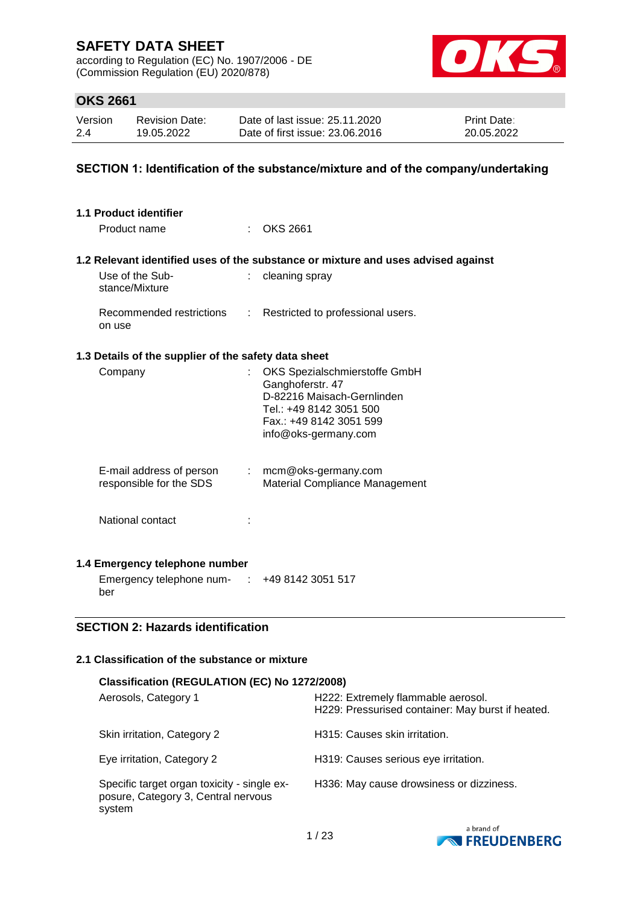according to Regulation (EC) No. 1907/2006 - DE (Commission Regulation (EU) 2020/878)



## **OKS 2661**

| Version | <b>Revision Date:</b> | Date of last issue: 25.11.2020  | <b>Print Date:</b> |
|---------|-----------------------|---------------------------------|--------------------|
| 2.4     | 19.05.2022            | Date of first issue: 23,06,2016 | 20.05.2022         |

### **SECTION 1: Identification of the substance/mixture and of the company/undertaking**

| <b>1.1 Product identifier</b>                        |                                                                                                                                                               |
|------------------------------------------------------|---------------------------------------------------------------------------------------------------------------------------------------------------------------|
| Product name                                         | : OKS 2661                                                                                                                                                    |
|                                                      | 1.2 Relevant identified uses of the substance or mixture and uses advised against                                                                             |
| Use of the Sub-<br>stance/Mixture                    | cleaning spray                                                                                                                                                |
| Recommended restrictions<br>on use                   | : Restricted to professional users.                                                                                                                           |
| 1.3 Details of the supplier of the safety data sheet |                                                                                                                                                               |
| Company                                              | OKS Spezialschmierstoffe GmbH<br>Ganghoferstr. 47<br>D-82216 Maisach-Gernlinden<br>Tel.: +49 8142 3051 500<br>Fax.: +49 8142 3051 599<br>info@oks-germany.com |
| E-mail address of person<br>responsible for the SDS  | $:$ mcm@oks-germany.com<br><b>Material Compliance Management</b>                                                                                              |
| National contact                                     |                                                                                                                                                               |
| 1.4 Emergency telephone number                       |                                                                                                                                                               |
| Emergency telephone num- : +49 8142 3051 517<br>ber  |                                                                                                                                                               |
| <b>SECTION 2: Hazards identification</b>             |                                                                                                                                                               |
| 2.1 Classification of the substance or mixture       |                                                                                                                                                               |

## **Classification (REGULATION (EC) No 1272/2008)** Aerosols, Category 1 **H222: Extremely flammable aerosol.** H229: Pressurised container: May burst if heated. Skin irritation, Category 2 H315: Causes skin irritation. Eye irritation, Category 2 H319: Causes serious eye irritation. Specific target organ toxicity - single exposure, Category 3, Central nervous system H336: May cause drowsiness or dizziness.

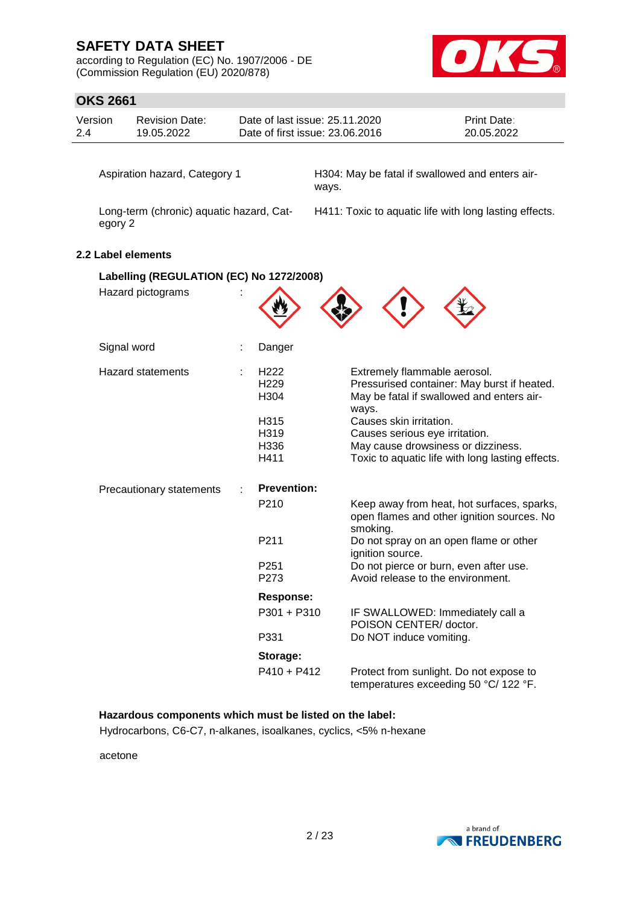according to Regulation (EC) No. 1907/2006 - DE (Commission Regulation (EU) 2020/878)



## **OKS 2661**

| Version | Revision Date: | Date of last issue: 25.11.2020  | <b>Print Date:</b> |
|---------|----------------|---------------------------------|--------------------|
| 2.4     | 19.05.2022     | Date of first issue: 23,06,2016 | 20.05.2022         |

Aspiration hazard, Category 1 H304: May be fatal if swallowed and enters airways.

Long-term (chronic) aquatic hazard, Category 2

H411: Toxic to aquatic life with long lasting effects.

### **2.2 Label elements**

| Labelling (REGULATION (EC) No 1272/2008) |                                      |                                                                                                      |
|------------------------------------------|--------------------------------------|------------------------------------------------------------------------------------------------------|
| Hazard pictograms                        |                                      |                                                                                                      |
| Signal word                              | Danger                               |                                                                                                      |
| <b>Hazard statements</b>                 | H <sub>222</sub><br>H <sub>229</sub> | Extremely flammable aerosol.<br>Pressurised container: May burst if heated.                          |
|                                          | H304                                 | May be fatal if swallowed and enters air-<br>ways.                                                   |
|                                          | H315                                 | Causes skin irritation.                                                                              |
|                                          | H319                                 | Causes serious eye irritation.                                                                       |
|                                          | H336                                 | May cause drowsiness or dizziness.                                                                   |
|                                          | H411                                 | Toxic to aquatic life with long lasting effects.                                                     |
| Precautionary statements                 | <b>Prevention:</b>                   |                                                                                                      |
|                                          | P <sub>210</sub>                     | Keep away from heat, hot surfaces, sparks,<br>open flames and other ignition sources. No<br>smoking. |
|                                          | P211                                 | Do not spray on an open flame or other<br>ignition source.                                           |
|                                          | P <sub>251</sub>                     | Do not pierce or burn, even after use.                                                               |
|                                          | P273                                 | Avoid release to the environment.                                                                    |
|                                          | Response:                            |                                                                                                      |
|                                          | P301 + P310                          | IF SWALLOWED: Immediately call a<br>POISON CENTER/ doctor.                                           |
|                                          | P331                                 | Do NOT induce vomiting.                                                                              |
|                                          | Storage:                             |                                                                                                      |
|                                          | $P410 + P412$                        | Protect from sunlight. Do not expose to<br>temperatures exceeding 50 °C/ 122 °F.                     |

### **Hazardous components which must be listed on the label:**

Hydrocarbons, C6-C7, n-alkanes, isoalkanes, cyclics, <5% n-hexane

acetone

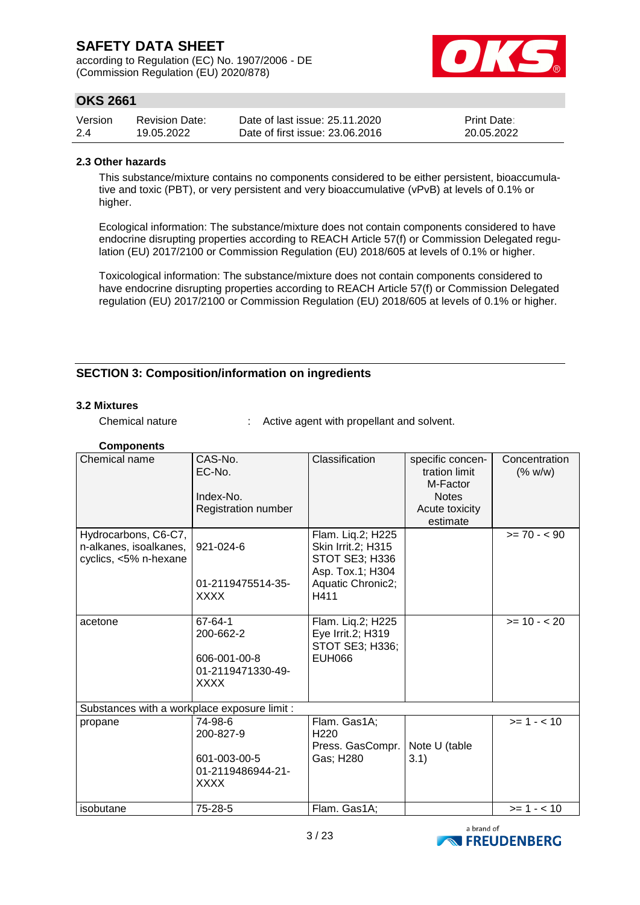according to Regulation (EC) No. 1907/2006 - DE (Commission Regulation (EU) 2020/878)



## **OKS 2661**

| Version | <b>Revision Date:</b> | Date of last issue: 25.11.2020  | Print Date: |
|---------|-----------------------|---------------------------------|-------------|
| 2.4     | 19.05.2022            | Date of first issue: 23,06,2016 | 20.05.2022  |

### **2.3 Other hazards**

This substance/mixture contains no components considered to be either persistent, bioaccumulative and toxic (PBT), or very persistent and very bioaccumulative (vPvB) at levels of 0.1% or higher.

Ecological information: The substance/mixture does not contain components considered to have endocrine disrupting properties according to REACH Article 57(f) or Commission Delegated regulation (EU) 2017/2100 or Commission Regulation (EU) 2018/605 at levels of 0.1% or higher.

Toxicological information: The substance/mixture does not contain components considered to have endocrine disrupting properties according to REACH Article 57(f) or Commission Delegated regulation (EU) 2017/2100 or Commission Regulation (EU) 2018/605 at levels of 0.1% or higher.

### **SECTION 3: Composition/information on ingredients**

### **3.2 Mixtures**

**Components**

Chemical nature : Active agent with propellant and solvent.

| <b>UUIIIPUIIGIILS</b>                        |                     |                                      |                  |               |
|----------------------------------------------|---------------------|--------------------------------------|------------------|---------------|
| Chemical name                                | CAS-No.             | Classification                       | specific concen- | Concentration |
|                                              | EC-No.              |                                      | tration limit    | (% w/w)       |
|                                              |                     |                                      | M-Factor         |               |
|                                              | Index-No.           |                                      | <b>Notes</b>     |               |
|                                              | Registration number |                                      | Acute toxicity   |               |
|                                              |                     |                                      | estimate         |               |
| Hydrocarbons, C6-C7,                         |                     | Flam. Liq.2; H225                    |                  | $>= 70 - 90$  |
| n-alkanes, isoalkanes,                       | 921-024-6           | Skin Irrit.2; H315                   |                  |               |
| cyclics, <5% n-hexane                        |                     | STOT SE3; H336                       |                  |               |
|                                              |                     | Asp. Tox.1; H304                     |                  |               |
|                                              | 01-2119475514-35-   | Aquatic Chronic2;                    |                  |               |
|                                              | <b>XXXX</b>         | H411                                 |                  |               |
| acetone                                      | 67-64-1             | Flam. Liq.2; H225                    |                  | $>= 10 - 20$  |
|                                              | 200-662-2           | Eye Irrit.2; H319<br>STOT SE3; H336; |                  |               |
|                                              | 606-001-00-8        | <b>EUH066</b>                        |                  |               |
|                                              | 01-2119471330-49-   |                                      |                  |               |
|                                              | <b>XXXX</b>         |                                      |                  |               |
|                                              |                     |                                      |                  |               |
| Substances with a workplace exposure limit : |                     |                                      |                  |               |
| propane                                      | 74-98-6             | Flam. Gas1A;                         |                  | $>= 1 - 10$   |
|                                              | 200-827-9           | H <sub>220</sub>                     |                  |               |
|                                              |                     | Press. GasCompr.                     | Note U (table    |               |
|                                              | 601-003-00-5        | Gas; H280                            | 3.1)             |               |
|                                              | 01-2119486944-21-   |                                      |                  |               |
|                                              | <b>XXXX</b>         |                                      |                  |               |
| isobutane                                    | 75-28-5             | Flam. Gas1A;                         |                  | $>= 1 - < 10$ |

a brand of **EXPRESSION FREUDENBERG**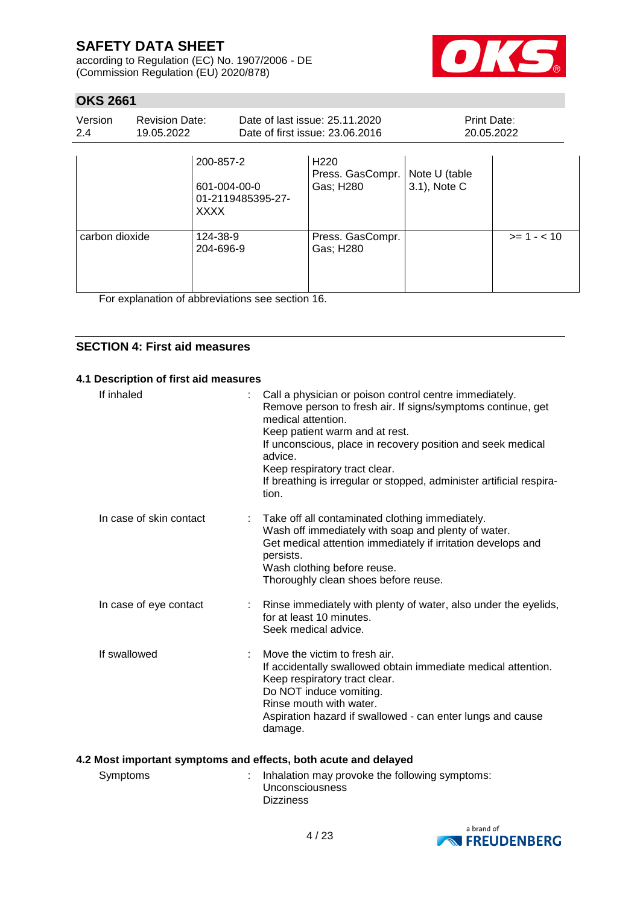according to Regulation (EC) No. 1907/2006 - DE (Commission Regulation (EU) 2020/878)



## **OKS 2661**

| Version<br>2.4 | <b>Revision Date:</b><br>19.05.2022 |                                                               | Date of last issue: 25.11.2020<br>Date of first issue: 23.06.2016 | Print Date:<br>20.05.2022     |               |
|----------------|-------------------------------------|---------------------------------------------------------------|-------------------------------------------------------------------|-------------------------------|---------------|
|                |                                     | 200-857-2<br>601-004-00-0<br>01-2119485395-27-<br><b>XXXX</b> | H <sub>220</sub><br>Press. GasCompr.<br>Gas; H280                 | Note U (table<br>3.1), Note C |               |
| carbon dioxide |                                     | 124-38-9<br>204-696-9                                         | Press. GasCompr.<br>Gas; H280                                     |                               | $>= 1 - < 10$ |

For explanation of abbreviations see section 16.

### **SECTION 4: First aid measures**

### **4.1 Description of first aid measures**

| If inhaled              | Call a physician or poison control centre immediately.<br>Remove person to fresh air. If signs/symptoms continue, get<br>medical attention.<br>Keep patient warm and at rest.<br>If unconscious, place in recovery position and seek medical<br>advice.<br>Keep respiratory tract clear.<br>If breathing is irregular or stopped, administer artificial respira-<br>tion. |
|-------------------------|---------------------------------------------------------------------------------------------------------------------------------------------------------------------------------------------------------------------------------------------------------------------------------------------------------------------------------------------------------------------------|
| In case of skin contact | Take off all contaminated clothing immediately.<br>Wash off immediately with soap and plenty of water.<br>Get medical attention immediately if irritation develops and<br>persists.<br>Wash clothing before reuse.<br>Thoroughly clean shoes before reuse.                                                                                                                |
| In case of eye contact  | : Rinse immediately with plenty of water, also under the eyelids,<br>for at least 10 minutes.<br>Seek medical advice.                                                                                                                                                                                                                                                     |
| If swallowed            | Move the victim to fresh air.<br>If accidentally swallowed obtain immediate medical attention.<br>Keep respiratory tract clear.<br>Do NOT induce vomiting.<br>Rinse mouth with water.<br>Aspiration hazard if swallowed - can enter lungs and cause<br>damage.                                                                                                            |

### **4.2 Most important symptoms and effects, both acute and delayed**

| Symptoms | Inhalation may provoke the following symptoms: |
|----------|------------------------------------------------|
|          | <b>Unconsciousness</b>                         |
|          | <b>Dizziness</b>                               |

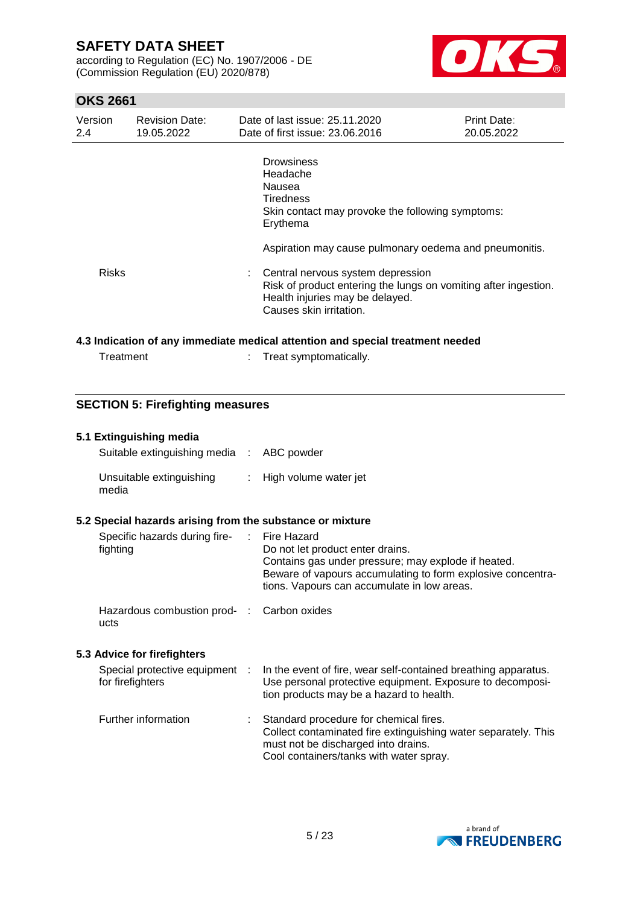according to Regulation (EC) No. 1907/2006 - DE (Commission Regulation (EU) 2020/878)



## **OKS 2661**

| Version<br>2.4 | <b>Revision Date:</b><br>19.05.2022 | Date of last issue: 25.11.2020<br>Date of first issue: 23.06.2016                                                                                                                                                            | Print Date:<br>20.05.2022 |
|----------------|-------------------------------------|------------------------------------------------------------------------------------------------------------------------------------------------------------------------------------------------------------------------------|---------------------------|
|                |                                     | <b>Drowsiness</b><br>Headache<br>Nausea<br>Tiredness<br>Skin contact may provoke the following symptoms:<br>Erythema                                                                                                         |                           |
| <b>Risks</b>   |                                     | Aspiration may cause pulmonary oedema and pneumonitis.<br>Central nervous system depression<br>Risk of product entering the lungs on vomiting after ingestion.<br>Health injuries may be delayed.<br>Causes skin irritation. |                           |

### **4.3 Indication of any immediate medical attention and special treatment needed**

| Treatment | Treat symptomatically. |  |
|-----------|------------------------|--|
|           |                        |  |

## **SECTION 5: Firefighting measures**

### **5.1 Extinguishing media**

| Suitable extinguishing media : ABC powder |                         |
|-------------------------------------------|-------------------------|
| Unsuitable extinguishing<br>media         | : High volume water jet |

### **5.2 Special hazards arising from the substance or mixture**

| Specific hazards during fire-<br>fighting  | : Fire Hazard<br>Do not let product enter drains.<br>Contains gas under pressure; may explode if heated.<br>Beware of vapours accumulating to form explosive concentra-<br>tions. Vapours can accumulate in low areas. |
|--------------------------------------------|------------------------------------------------------------------------------------------------------------------------------------------------------------------------------------------------------------------------|
| Hazardous combustion prod- : Carbon oxides |                                                                                                                                                                                                                        |

ucts

### **5.3 Advice for firefighters**

| Special protective equipment<br>for firefighters |    | In the event of fire, wear self-contained breathing apparatus.<br>Use personal protective equipment. Exposure to decomposi-<br>tion products may be a hazard to health.                    |
|--------------------------------------------------|----|--------------------------------------------------------------------------------------------------------------------------------------------------------------------------------------------|
| Further information                              | ÷. | Standard procedure for chemical fires.<br>Collect contaminated fire extinguishing water separately. This<br>must not be discharged into drains.<br>Cool containers/tanks with water spray. |

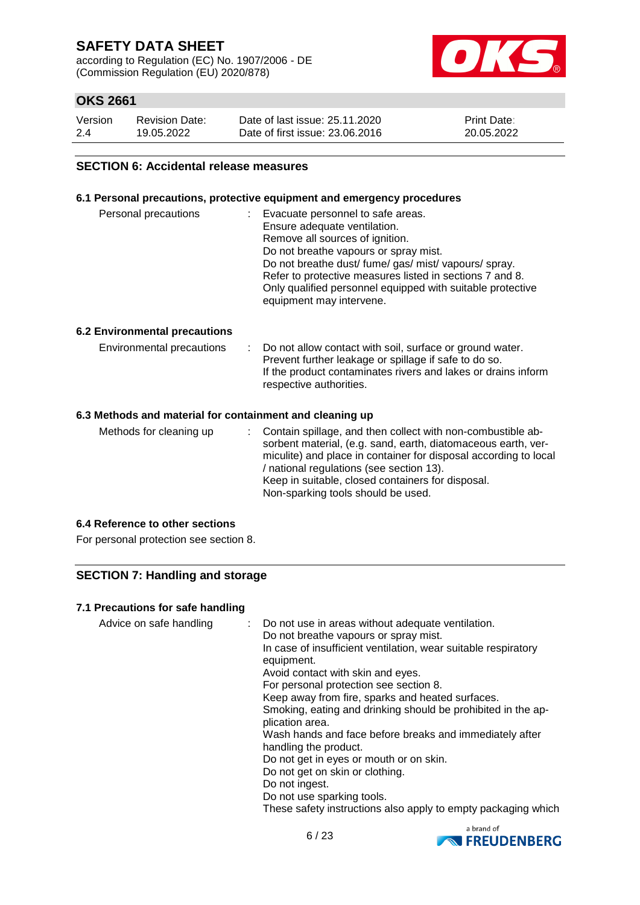according to Regulation (EC) No. 1907/2006 - DE (Commission Regulation (EU) 2020/878)



## **OKS 2661**

| Version | <b>Revision Date:</b> | Date of last issue: 25.11.2020  | <b>Print Date:</b> |
|---------|-----------------------|---------------------------------|--------------------|
| 2.4     | 19.05.2022            | Date of first issue: 23,06,2016 | 20.05.2022         |

### **SECTION 6: Accidental release measures**

### **6.1 Personal precautions, protective equipment and emergency procedures**

| Personal precautions | Evacuate personnel to safe areas.<br>Ensure adequate ventilation.<br>Remove all sources of ignition.<br>Do not breathe vapours or spray mist.<br>Do not breathe dust/ fume/ gas/ mist/ vapours/ spray.<br>Refer to protective measures listed in sections 7 and 8.<br>Only qualified personnel equipped with suitable protective |
|----------------------|----------------------------------------------------------------------------------------------------------------------------------------------------------------------------------------------------------------------------------------------------------------------------------------------------------------------------------|
|                      | equipment may intervene.                                                                                                                                                                                                                                                                                                         |

#### **6.2 Environmental precautions**

| If the product contaminates rivers and lakes or drains inform<br>respective authorities. |
|------------------------------------------------------------------------------------------|
|------------------------------------------------------------------------------------------|

#### **6.3 Methods and material for containment and cleaning up**

| Methods for cleaning up | : Contain spillage, and then collect with non-combustible ab-<br>sorbent material, (e.g. sand, earth, diatomaceous earth, ver-<br>miculite) and place in container for disposal according to local<br>/ national regulations (see section 13).<br>Keep in suitable, closed containers for disposal.<br>Non-sparking tools should be used. |
|-------------------------|-------------------------------------------------------------------------------------------------------------------------------------------------------------------------------------------------------------------------------------------------------------------------------------------------------------------------------------------|
|-------------------------|-------------------------------------------------------------------------------------------------------------------------------------------------------------------------------------------------------------------------------------------------------------------------------------------------------------------------------------------|

#### **6.4 Reference to other sections**

For personal protection see section 8.

### **SECTION 7: Handling and storage**

### **7.1 Precautions for safe handling**

| Advice on safe handling | : Do not use in areas without adequate ventilation.<br>Do not breathe vapours or spray mist.<br>In case of insufficient ventilation, wear suitable respiratory<br>equipment.<br>Avoid contact with skin and eyes.<br>For personal protection see section 8.<br>Keep away from fire, sparks and heated surfaces.<br>Smoking, eating and drinking should be prohibited in the ap-<br>plication area.<br>Wash hands and face before breaks and immediately after<br>handling the product.<br>Do not get in eyes or mouth or on skin.<br>Do not get on skin or clothing.<br>Do not ingest.<br>Do not use sparking tools.<br>These safety instructions also apply to empty packaging which |
|-------------------------|---------------------------------------------------------------------------------------------------------------------------------------------------------------------------------------------------------------------------------------------------------------------------------------------------------------------------------------------------------------------------------------------------------------------------------------------------------------------------------------------------------------------------------------------------------------------------------------------------------------------------------------------------------------------------------------|
|-------------------------|---------------------------------------------------------------------------------------------------------------------------------------------------------------------------------------------------------------------------------------------------------------------------------------------------------------------------------------------------------------------------------------------------------------------------------------------------------------------------------------------------------------------------------------------------------------------------------------------------------------------------------------------------------------------------------------|

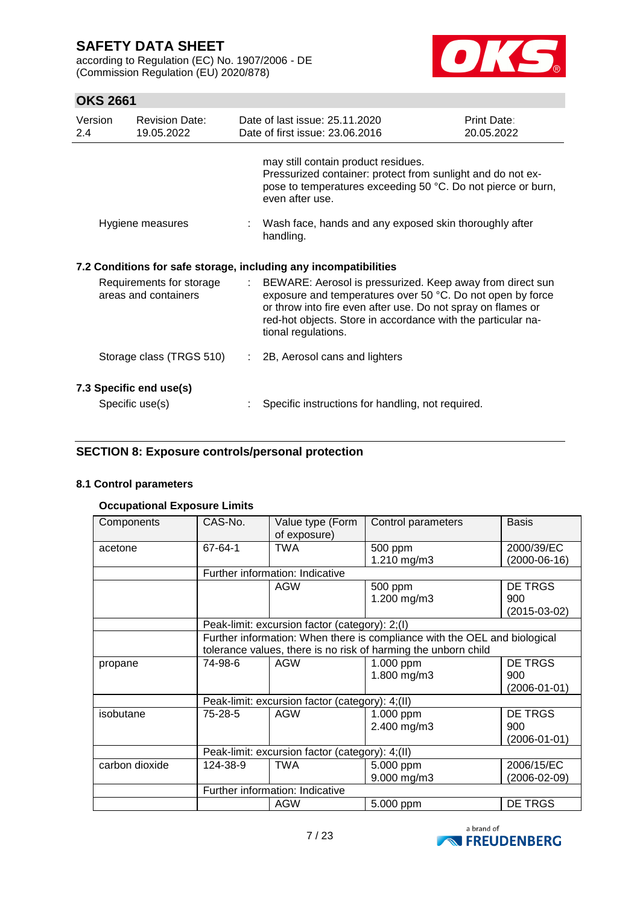according to Regulation (EC) No. 1907/2006 - DE (Commission Regulation (EU) 2020/878)



## **OKS 2661**

| Version | <b>Revision Date:</b><br>19.05.2022 |                                                                                                                                                |                                                        | Print Date:<br>20.05.2022                                                                                                                                                                                                                                                                                                                                                                                                                                                                                                                                                                                                                          |
|---------|-------------------------------------|------------------------------------------------------------------------------------------------------------------------------------------------|--------------------------------------------------------|----------------------------------------------------------------------------------------------------------------------------------------------------------------------------------------------------------------------------------------------------------------------------------------------------------------------------------------------------------------------------------------------------------------------------------------------------------------------------------------------------------------------------------------------------------------------------------------------------------------------------------------------------|
|         |                                     |                                                                                                                                                | may still contain product residues.<br>even after use. |                                                                                                                                                                                                                                                                                                                                                                                                                                                                                                                                                                                                                                                    |
|         |                                     |                                                                                                                                                | handling.                                              |                                                                                                                                                                                                                                                                                                                                                                                                                                                                                                                                                                                                                                                    |
|         |                                     |                                                                                                                                                |                                                        |                                                                                                                                                                                                                                                                                                                                                                                                                                                                                                                                                                                                                                                    |
|         |                                     |                                                                                                                                                | tional regulations.                                    |                                                                                                                                                                                                                                                                                                                                                                                                                                                                                                                                                                                                                                                    |
|         |                                     |                                                                                                                                                | 2B, Aerosol cans and lighters                          |                                                                                                                                                                                                                                                                                                                                                                                                                                                                                                                                                                                                                                                    |
|         |                                     |                                                                                                                                                |                                                        |                                                                                                                                                                                                                                                                                                                                                                                                                                                                                                                                                                                                                                                    |
|         |                                     | Hygiene measures<br>Requirements for storage<br>areas and containers<br>Storage class (TRGS 510)<br>7.3 Specific end use(s)<br>Specific use(s) |                                                        | Date of last issue: 25.11.2020<br>Date of first issue: 23.06.2016<br>Pressurized container: protect from sunlight and do not ex-<br>pose to temperatures exceeding 50 °C. Do not pierce or burn,<br>: Wash face, hands and any exposed skin thoroughly after<br>7.2 Conditions for safe storage, including any incompatibilities<br>: BEWARE: Aerosol is pressurized. Keep away from direct sun<br>exposure and temperatures over 50 °C. Do not open by force<br>or throw into fire even after use. Do not spray on flames or<br>red-hot objects. Store in accordance with the particular na-<br>Specific instructions for handling, not required. |

## **SECTION 8: Exposure controls/personal protection**

### **8.1 Control parameters**

### **Occupational Exposure Limits**

| Components     | CAS-No.                                                                   | Value type (Form<br>of exposure) | Control parameters | <b>Basis</b>       |  |  |
|----------------|---------------------------------------------------------------------------|----------------------------------|--------------------|--------------------|--|--|
| acetone        | 67-64-1                                                                   | TWA                              | 500 ppm            | 2000/39/EC         |  |  |
|                |                                                                           |                                  | 1.210 mg/m3        | $(2000-06-16)$     |  |  |
|                |                                                                           | Further information: Indicative  |                    |                    |  |  |
|                |                                                                           | <b>AGW</b>                       | 500 ppm            | DE TRGS            |  |  |
|                |                                                                           |                                  | 1.200 mg/m3        | 900                |  |  |
|                |                                                                           |                                  |                    | $(2015-03-02)$     |  |  |
|                | Peak-limit: excursion factor (category): 2;(I)                            |                                  |                    |                    |  |  |
|                | Further information: When there is compliance with the OEL and biological |                                  |                    |                    |  |  |
|                | tolerance values, there is no risk of harming the unborn child            |                                  |                    |                    |  |  |
| propane        | DE TRGS<br>74-98-6<br><b>AGW</b><br>1.000 ppm                             |                                  |                    |                    |  |  |
|                |                                                                           |                                  | 1.800 mg/m3        | 900                |  |  |
|                |                                                                           |                                  |                    | $(2006 - 01 - 01)$ |  |  |
|                | Peak-limit: excursion factor (category): 4;(II)                           |                                  |                    |                    |  |  |
| isobutane      | 75-28-5                                                                   | <b>AGW</b>                       | 1.000 ppm          | <b>DE TRGS</b>     |  |  |
|                |                                                                           |                                  | 2.400 mg/m3        | 900                |  |  |
|                |                                                                           |                                  |                    | $(2006 - 01 - 01)$ |  |  |
|                | Peak-limit: excursion factor (category): 4;(II)                           |                                  |                    |                    |  |  |
| carbon dioxide | 124-38-9                                                                  | TWA                              | 5.000 ppm          | 2006/15/EC         |  |  |
|                |                                                                           |                                  | 9.000 mg/m3        | (2006-02-09)       |  |  |
|                |                                                                           | Further information: Indicative  |                    |                    |  |  |
|                | DE TRGS<br>AGW<br>5.000 ppm                                               |                                  |                    |                    |  |  |

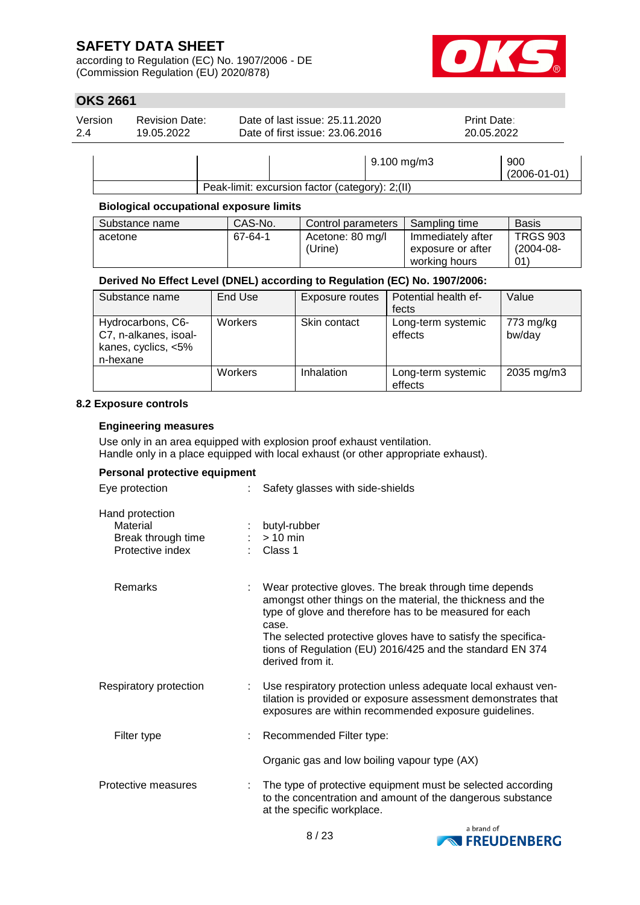according to Regulation (EC) No. 1907/2006 - DE (Commission Regulation (EU) 2020/878)



## **OKS 2661**

| Version | <b>Revision Date:</b> | Date of last issue: 25.11.2020  |                        | <b>Print Date:</b>        |
|---------|-----------------------|---------------------------------|------------------------|---------------------------|
| 2.4     | 19.05.2022            | Date of first issue: 23,06,2016 |                        | 20.05.2022                |
|         |                       |                                 | $9.100 \text{ mg/m}$ 3 | 900<br>$(2006 - 01 - 01)$ |

Peak-limit: excursion factor (category): 2;(II)

#### **Biological occupational exposure limits**

| Substance name | CAS-No. | Control parameters          | Sampling time                                           | <b>Basis</b>                            |
|----------------|---------|-----------------------------|---------------------------------------------------------|-----------------------------------------|
| acetone        | 67-64-1 | Acetone: 80 mg/l<br>(Urine) | Immediately after<br>exposure or after<br>working hours | <b>TRGS 903</b><br>$(2004 - 08 -$<br>01 |

## **Derived No Effect Level (DNEL) according to Regulation (EC) No. 1907/2006:**

| Substance name                                                                | End Use | Exposure routes | Potential health ef-<br>fects | Value               |
|-------------------------------------------------------------------------------|---------|-----------------|-------------------------------|---------------------|
| Hydrocarbons, C6-<br>C7, n-alkanes, isoal-<br>kanes, cyclics, <5%<br>n-hexane | Workers | Skin contact    | Long-term systemic<br>effects | 773 mg/kg<br>bw/day |
|                                                                               | Workers | Inhalation      | Long-term systemic<br>effects | 2035 mg/m3          |

#### **8.2 Exposure controls**

#### **Engineering measures**

Use only in an area equipped with explosion proof exhaust ventilation. Handle only in a place equipped with local exhaust (or other appropriate exhaust).

### **Personal protective equipment**

| Eye protection                                                        |   | Safety glasses with side-shields                                                                                                                                                                                                                                                                                                            |
|-----------------------------------------------------------------------|---|---------------------------------------------------------------------------------------------------------------------------------------------------------------------------------------------------------------------------------------------------------------------------------------------------------------------------------------------|
| Hand protection<br>Material<br>Break through time<br>Protective index | ÷ | butyl-rubber<br>$> 10$ min<br>Class 1                                                                                                                                                                                                                                                                                                       |
| Remarks                                                               |   | Wear protective gloves. The break through time depends<br>amongst other things on the material, the thickness and the<br>type of glove and therefore has to be measured for each<br>case.<br>The selected protective gloves have to satisfy the specifica-<br>tions of Regulation (EU) 2016/425 and the standard EN 374<br>derived from it. |
| Respiratory protection                                                |   | Use respiratory protection unless adequate local exhaust ven-<br>tilation is provided or exposure assessment demonstrates that<br>exposures are within recommended exposure guidelines.                                                                                                                                                     |
| Filter type                                                           |   | Recommended Filter type:                                                                                                                                                                                                                                                                                                                    |
|                                                                       |   | Organic gas and low boiling vapour type (AX)                                                                                                                                                                                                                                                                                                |
| Protective measures                                                   |   | The type of protective equipment must be selected according<br>to the concentration and amount of the dangerous substance<br>at the specific workplace.                                                                                                                                                                                     |

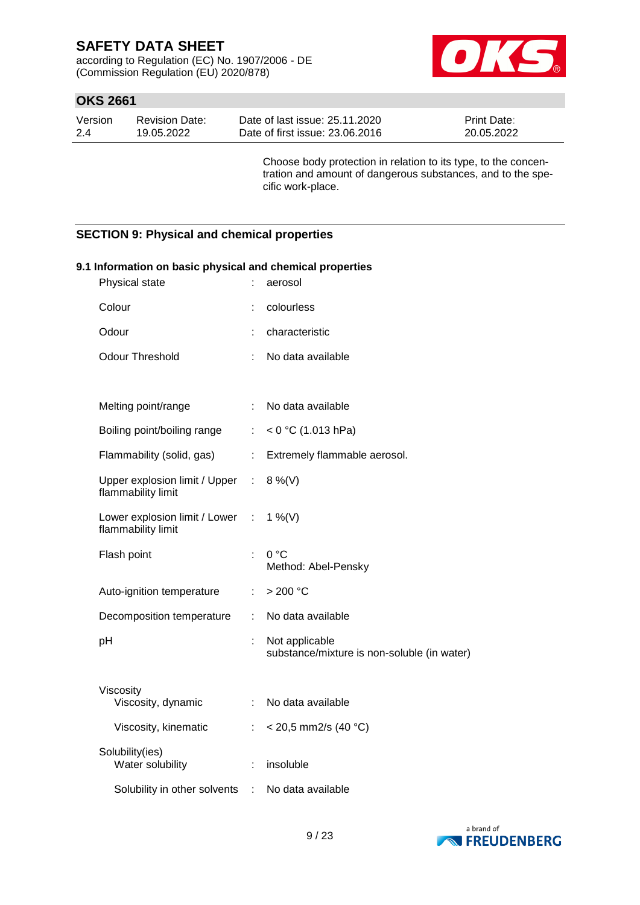according to Regulation (EC) No. 1907/2006 - DE (Commission Regulation (EU) 2020/878)



## **OKS 2661**

| Version | Revision Date: | Date of last issue: 25.11.2020  | <b>Print Date:</b> |
|---------|----------------|---------------------------------|--------------------|
| -2.4    | 19.05.2022     | Date of first issue: 23,06,2016 | 20.05.2022         |

Choose body protection in relation to its type, to the concentration and amount of dangerous substances, and to the specific work-place.

### **SECTION 9: Physical and chemical properties**

### **9.1 Information on basic physical and chemical properties**

| Physical state                                        |                           | aerosol                                                       |
|-------------------------------------------------------|---------------------------|---------------------------------------------------------------|
| Colour                                                |                           | colourless                                                    |
| Odour                                                 |                           | characteristic                                                |
| <b>Odour Threshold</b>                                |                           | No data available                                             |
|                                                       |                           |                                                               |
| Melting point/range                                   | $\mathbb{R}^{\mathbb{Z}}$ | No data available                                             |
| Boiling point/boiling range                           | t.                        | $< 0$ °C (1.013 hPa)                                          |
| Flammability (solid, gas)                             | $\mathbb{R}^{\mathbb{Z}}$ | Extremely flammable aerosol.                                  |
| Upper explosion limit / Upper<br>flammability limit   | ÷.                        | $8\%$ (V)                                                     |
| Lower explosion limit / Lower :<br>flammability limit |                           | 1 %(V)                                                        |
| Flash point                                           | ÷                         | 0 °C<br>Method: Abel-Pensky                                   |
| Auto-ignition temperature                             | t.                        | >200 °C                                                       |
| Decomposition temperature                             | ÷.                        | No data available                                             |
| pH                                                    |                           | Not applicable<br>substance/mixture is non-soluble (in water) |
| Viscosity                                             |                           |                                                               |
| Viscosity, dynamic                                    |                           | : No data available                                           |
| Viscosity, kinematic                                  | ÷                         | $<$ 20,5 mm2/s (40 °C)                                        |
| Solubility(ies)<br>Water solubility                   |                           | insoluble                                                     |
| Solubility in other solvents                          | t.                        | No data available                                             |

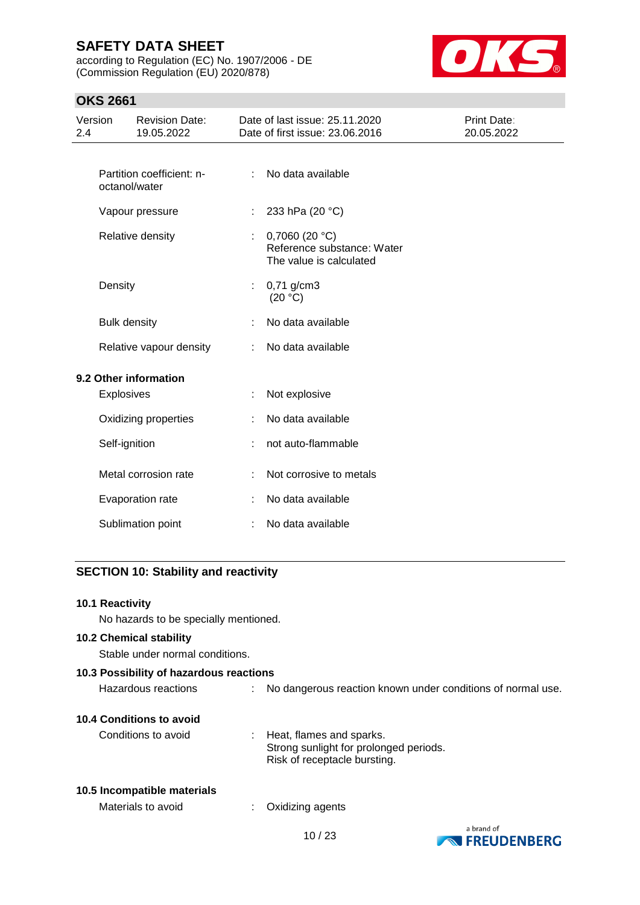according to Regulation (EC) No. 1907/2006 - DE (Commission Regulation (EU) 2020/878)



# **OKS 2661**

| Version<br>2.4 | <b>Revision Date:</b><br>19.05.2022        | Date of last issue: 25.11.2020<br>Date of first issue: 23.06.2016         | Print Date:<br>20.05.2022 |
|----------------|--------------------------------------------|---------------------------------------------------------------------------|---------------------------|
|                | Partition coefficient: n-<br>octanol/water | : No data available                                                       |                           |
|                | Vapour pressure                            | 233 hPa (20 °C)<br>÷.                                                     |                           |
|                | Relative density                           | 0,7060 $(20 °C)$<br>Reference substance: Water<br>The value is calculated |                           |
|                | Density                                    | $0,71$ g/cm3<br>÷.<br>(20 °C)                                             |                           |
|                | <b>Bulk density</b>                        | No data available<br>÷                                                    |                           |
|                | Relative vapour density                    | No data available<br>÷                                                    |                           |
|                | 9.2 Other information<br><b>Explosives</b> | Not explosive<br>÷                                                        |                           |
|                | Oxidizing properties                       | No data available<br>÷                                                    |                           |
|                | Self-ignition                              | not auto-flammable<br>÷                                                   |                           |
|                | Metal corrosion rate                       | Not corrosive to metals<br>÷                                              |                           |
|                | Evaporation rate                           | No data available                                                         |                           |
|                | Sublimation point                          | No data available                                                         |                           |
|                |                                            |                                                                           |                           |

# **SECTION 10: Stability and reactivity**

| 10.1 Reactivity                         |                                                                                                    |                                                             |
|-----------------------------------------|----------------------------------------------------------------------------------------------------|-------------------------------------------------------------|
| No hazards to be specially mentioned.   |                                                                                                    |                                                             |
| <b>10.2 Chemical stability</b>          |                                                                                                    |                                                             |
| Stable under normal conditions.         |                                                                                                    |                                                             |
| 10.3 Possibility of hazardous reactions |                                                                                                    |                                                             |
| Hazardous reactions                     |                                                                                                    | No dangerous reaction known under conditions of normal use. |
| <b>10.4 Conditions to avoid</b>         |                                                                                                    |                                                             |
| Conditions to avoid                     | Heat, flames and sparks.<br>Strong sunlight for prolonged periods.<br>Risk of receptacle bursting. |                                                             |
| 10.5 Incompatible materials             |                                                                                                    |                                                             |
| Materials to avoid                      | Oxidizing agents                                                                                   |                                                             |
|                                         | 10/23                                                                                              | a brand of<br><b>NEREUDENBERG</b>                           |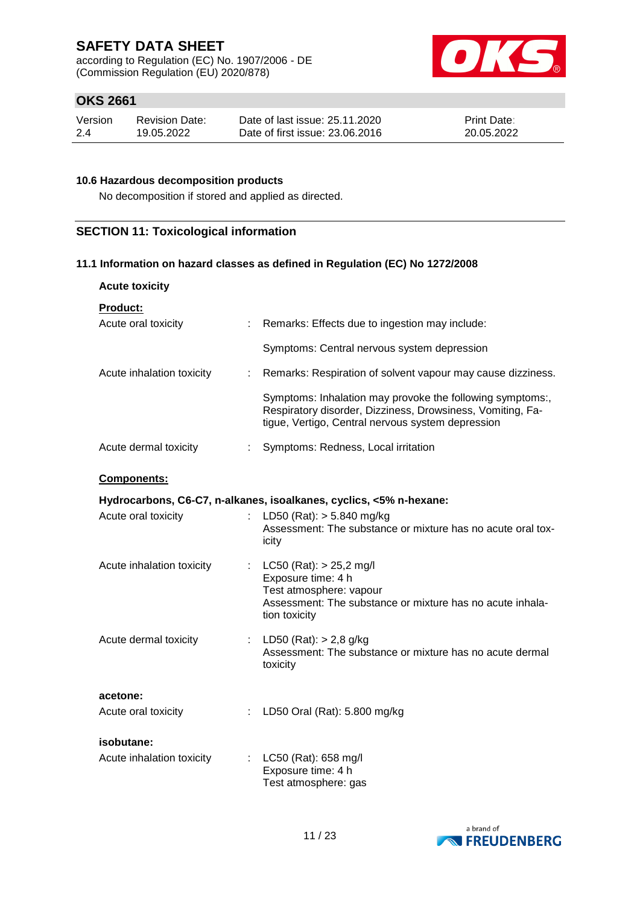according to Regulation (EC) No. 1907/2006 - DE (Commission Regulation (EU) 2020/878)



## **OKS 2661**

| Version | <b>Revision Date:</b> | Date of last issue: 25.11.2020  | <b>Print Date:</b> |
|---------|-----------------------|---------------------------------|--------------------|
| 2.4     | 19.05.2022            | Date of first issue: 23,06,2016 | 20.05.2022         |

### **10.6 Hazardous decomposition products**

No decomposition if stored and applied as directed.

### **SECTION 11: Toxicological information**

### **11.1 Information on hazard classes as defined in Regulation (EC) No 1272/2008**

| <b>Acute toxicity</b>                   |                                                                                                                                                                              |
|-----------------------------------------|------------------------------------------------------------------------------------------------------------------------------------------------------------------------------|
| Product:<br>Acute oral toxicity         | Remarks: Effects due to ingestion may include:                                                                                                                               |
|                                         | Symptoms: Central nervous system depression                                                                                                                                  |
|                                         |                                                                                                                                                                              |
| Acute inhalation toxicity<br>÷.         | Remarks: Respiration of solvent vapour may cause dizziness.                                                                                                                  |
|                                         | Symptoms: Inhalation may provoke the following symptoms:,<br>Respiratory disorder, Dizziness, Drowsiness, Vomiting, Fa-<br>tigue, Vertigo, Central nervous system depression |
| Acute dermal toxicity                   | Symptoms: Redness, Local irritation                                                                                                                                          |
| <b>Components:</b>                      |                                                                                                                                                                              |
|                                         | Hydrocarbons, C6-C7, n-alkanes, isoalkanes, cyclics, <5% n-hexane:                                                                                                           |
| Acute oral toxicity                     | LD50 (Rat): $> 5.840$ mg/kg<br>Assessment: The substance or mixture has no acute oral tox-<br>icity                                                                          |
| Acute inhalation toxicity               | : LC50 (Rat): > 25,2 mg/l<br>Exposure time: 4 h<br>Test atmosphere: vapour<br>Assessment: The substance or mixture has no acute inhala-<br>tion toxicity                     |
| Acute dermal toxicity                   | : LD50 (Rat): $> 2,8$ g/kg<br>Assessment: The substance or mixture has no acute dermal<br>toxicity                                                                           |
| acetone:                                |                                                                                                                                                                              |
| Acute oral toxicity                     | LD50 Oral (Rat): 5.800 mg/kg                                                                                                                                                 |
|                                         |                                                                                                                                                                              |
| isobutane:<br>Acute inhalation toxicity | : LC50 (Rat): 658 mg/l<br>Exposure time: 4 h<br>Test atmosphere: gas                                                                                                         |

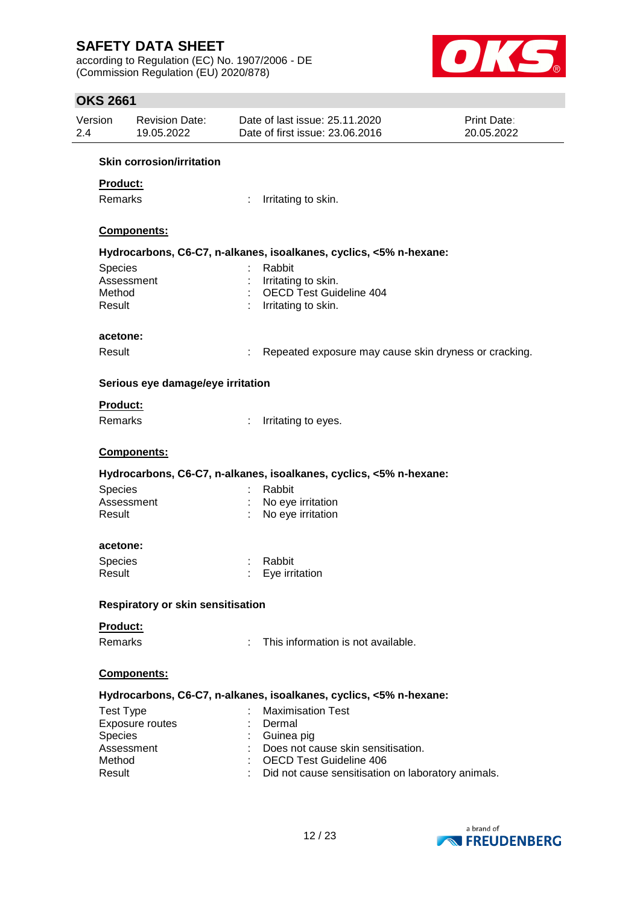according to Regulation (EC) No. 1907/2006 - DE (Commission Regulation (EU) 2020/878)



| Version           | Revision Date:<br>19.05.2022             | Date of last issue: 25.11.2020<br>Date of first issue: 23.06.2016    | <b>Print Date:</b><br>20.05.2022 |
|-------------------|------------------------------------------|----------------------------------------------------------------------|----------------------------------|
|                   | <b>Skin corrosion/irritation</b>         |                                                                      |                                  |
| Product:          |                                          |                                                                      |                                  |
| <b>Remarks</b>    |                                          | Irritating to skin.                                                  |                                  |
|                   |                                          |                                                                      |                                  |
|                   | Components:                              |                                                                      |                                  |
|                   |                                          | Hydrocarbons, C6-C7, n-alkanes, isoalkanes, cyclics, <5% n-hexane:   |                                  |
| Species           |                                          | Rabbit                                                               |                                  |
|                   | Assessment                               | Irritating to skin.                                                  |                                  |
| Method            |                                          | OECD Test Guideline 404                                              |                                  |
| Result            |                                          | Irritating to skin.                                                  |                                  |
| acetone:          |                                          |                                                                      |                                  |
| Result            |                                          | Repeated exposure may cause skin dryness or cracking.<br>t           |                                  |
|                   | Serious eye damage/eye irritation        |                                                                      |                                  |
| Product:          |                                          |                                                                      |                                  |
|                   |                                          | t<br>Irritating to eyes.                                             |                                  |
| Remarks           |                                          |                                                                      |                                  |
|                   | Components:                              |                                                                      |                                  |
|                   |                                          | Hydrocarbons, C6-C7, n-alkanes, isoalkanes, cyclics, <5% n-hexane:   |                                  |
| Species           |                                          | Rabbit                                                               |                                  |
|                   | Assessment                               | No eye irritation                                                    |                                  |
| Result            |                                          | No eye irritation                                                    |                                  |
| acetone:          |                                          |                                                                      |                                  |
|                   |                                          |                                                                      |                                  |
| Species<br>Result |                                          | Rabbit<br>Eye irritation                                             |                                  |
|                   | <b>Respiratory or skin sensitisation</b> |                                                                      |                                  |
| <b>Product:</b>   |                                          |                                                                      |                                  |
| <b>Remarks</b>    |                                          | This information is not available.<br>÷.                             |                                  |
|                   | Components:                              |                                                                      |                                  |
|                   |                                          | Hydrocarbons, C6-C7, n-alkanes, isoalkanes, cyclics, <5% n-hexane:   |                                  |
|                   |                                          | <b>Maximisation Test</b>                                             |                                  |
| <b>Test Type</b>  |                                          | Dermal                                                               |                                  |
|                   | Exposure routes                          |                                                                      |                                  |
| Species           |                                          | Guinea pig                                                           |                                  |
| Method            | Assessment                               | Does not cause skin sensitisation.<br><b>OECD Test Guideline 406</b> |                                  |

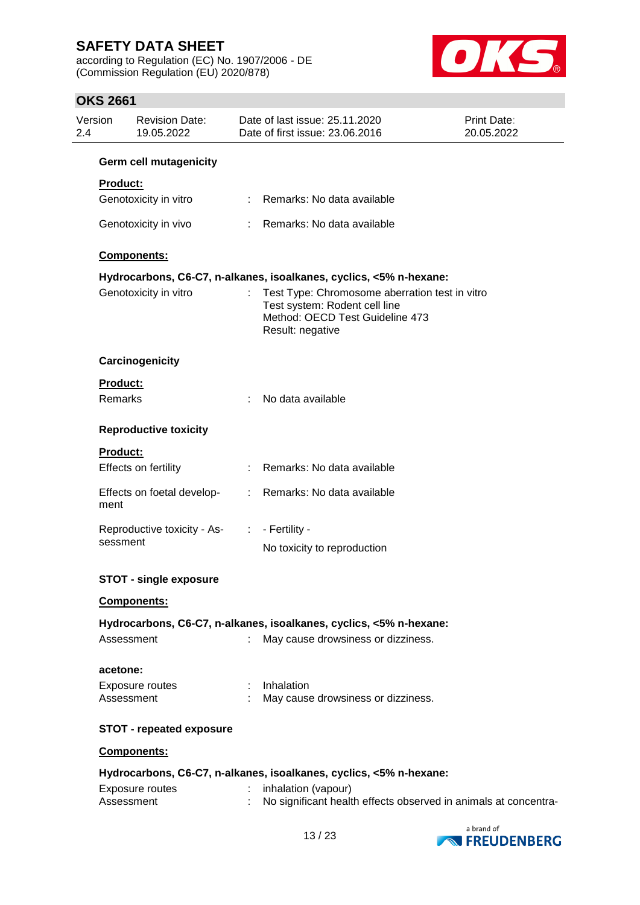according to Regulation (EC) No. 1907/2006 - DE (Commission Regulation (EU) 2020/878)



| Version<br>2.4  | <b>Revision Date:</b><br>19.05.2022 |                       | Date of last issue: 25.11.2020<br>Date of first issue: 23.06.2016                                                                      | <b>Print Date:</b><br>20.05.2022 |
|-----------------|-------------------------------------|-----------------------|----------------------------------------------------------------------------------------------------------------------------------------|----------------------------------|
|                 | <b>Germ cell mutagenicity</b>       |                       |                                                                                                                                        |                                  |
| Product:        |                                     |                       |                                                                                                                                        |                                  |
|                 | Genotoxicity in vitro               |                       | : Remarks: No data available                                                                                                           |                                  |
|                 | Genotoxicity in vivo                |                       | Remarks: No data available                                                                                                             |                                  |
|                 | Components:                         |                       |                                                                                                                                        |                                  |
|                 |                                     |                       | Hydrocarbons, C6-C7, n-alkanes, isoalkanes, cyclics, <5% n-hexane:                                                                     |                                  |
|                 | Genotoxicity in vitro               |                       | Test Type: Chromosome aberration test in vitro<br>Test system: Rodent cell line<br>Method: OECD Test Guideline 473<br>Result: negative |                                  |
|                 | Carcinogenicity                     |                       |                                                                                                                                        |                                  |
| <b>Product:</b> |                                     |                       |                                                                                                                                        |                                  |
| Remarks         |                                     |                       | No data available                                                                                                                      |                                  |
|                 | <b>Reproductive toxicity</b>        |                       |                                                                                                                                        |                                  |
| <b>Product:</b> |                                     |                       |                                                                                                                                        |                                  |
|                 | Effects on fertility                |                       | Remarks: No data available                                                                                                             |                                  |
| ment            | Effects on foetal develop-          | t.                    | Remarks: No data available                                                                                                             |                                  |
|                 | Reproductive toxicity - As-         | $\mathbb{C}^{\times}$ | - Fertility -                                                                                                                          |                                  |
| sessment        |                                     |                       | No toxicity to reproduction                                                                                                            |                                  |
|                 | <b>STOT - single exposure</b>       |                       |                                                                                                                                        |                                  |
|                 | Components:                         |                       |                                                                                                                                        |                                  |
|                 |                                     |                       | Hydrocarbons, C6-C7, n-alkanes, isoalkanes, cyclics, <5% n-hexane:                                                                     |                                  |
|                 | Assessment                          |                       | May cause drowsiness or dizziness.                                                                                                     |                                  |
| acetone:        |                                     |                       |                                                                                                                                        |                                  |
|                 | Exposure routes<br>Assessment       |                       | Inhalation<br>May cause drowsiness or dizziness.                                                                                       |                                  |
|                 | <b>STOT - repeated exposure</b>     |                       |                                                                                                                                        |                                  |
|                 | Components:                         |                       |                                                                                                                                        |                                  |
|                 |                                     |                       | Hydrocarbons, C6-C7, n-alkanes, isoalkanes, cyclics, <5% n-hexane:                                                                     |                                  |
|                 | Exposure routes<br>Assessment       |                       | inhalation (vapour)<br>No significant health effects observed in animals at concentra-                                                 |                                  |

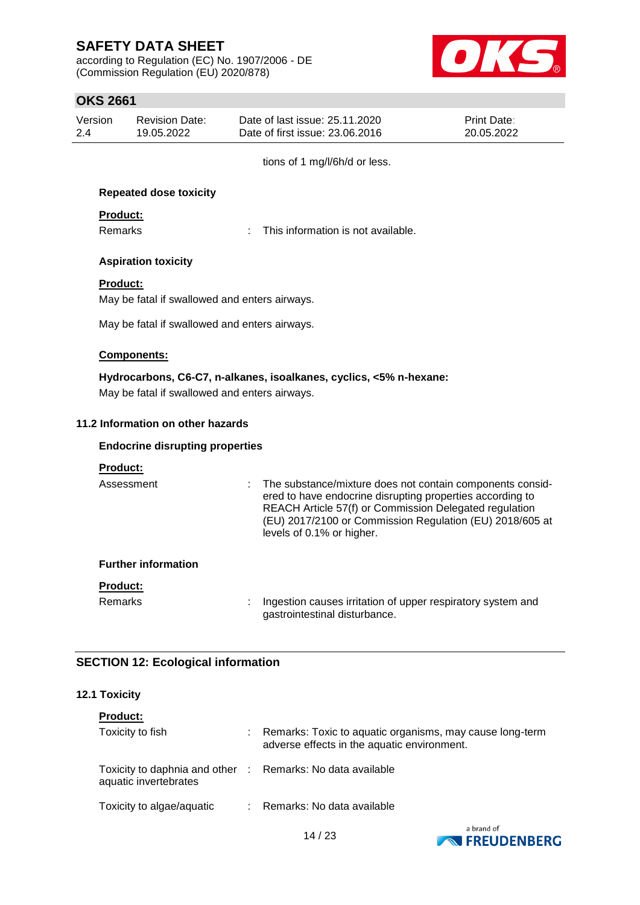according to Regulation (EC) No. 1907/2006 - DE (Commission Regulation (EU) 2020/878)



## **OKS 2661**

| Version | <b>Revision Date:</b> | Date of last issue: 25.11.2020  | <b>Print Date:</b> |
|---------|-----------------------|---------------------------------|--------------------|
| 2.4     | 19.05.2022            | Date of first issue: 23,06,2016 | 20.05.2022         |

tions of 1 mg/l/6h/d or less.

#### **Repeated dose toxicity**

#### **Product:**

Remarks : This information is not available.

#### **Aspiration toxicity**

### **Product:**

May be fatal if swallowed and enters airways.

May be fatal if swallowed and enters airways.

#### **Components:**

**Hydrocarbons, C6-C7, n-alkanes, isoalkanes, cyclics, <5% n-hexane:**

May be fatal if swallowed and enters airways.

### **11.2 Information on other hazards**

#### **Endocrine disrupting properties**

#### **Product:**

Assessment : The substance/mixture does not contain components considered to have endocrine disrupting properties according to REACH Article 57(f) or Commission Delegated regulation (EU) 2017/2100 or Commission Regulation (EU) 2018/605 at levels of 0.1% or higher.

#### **Further information**

#### **Product:**

Remarks : Ingestion causes irritation of upper respiratory system and gastrointestinal disturbance.

### **SECTION 12: Ecological information**

#### **12.1 Toxicity**

| <b>Product:</b>                                                                     |                                                                                                         |
|-------------------------------------------------------------------------------------|---------------------------------------------------------------------------------------------------------|
| Toxicity to fish                                                                    | Remarks: Toxic to aquatic organisms, may cause long-term<br>adverse effects in the aquatic environment. |
| Toxicity to daphnia and other : Remarks: No data available<br>aquatic invertebrates |                                                                                                         |
| Toxicity to algae/aquatic                                                           | : Remarks: No data available                                                                            |

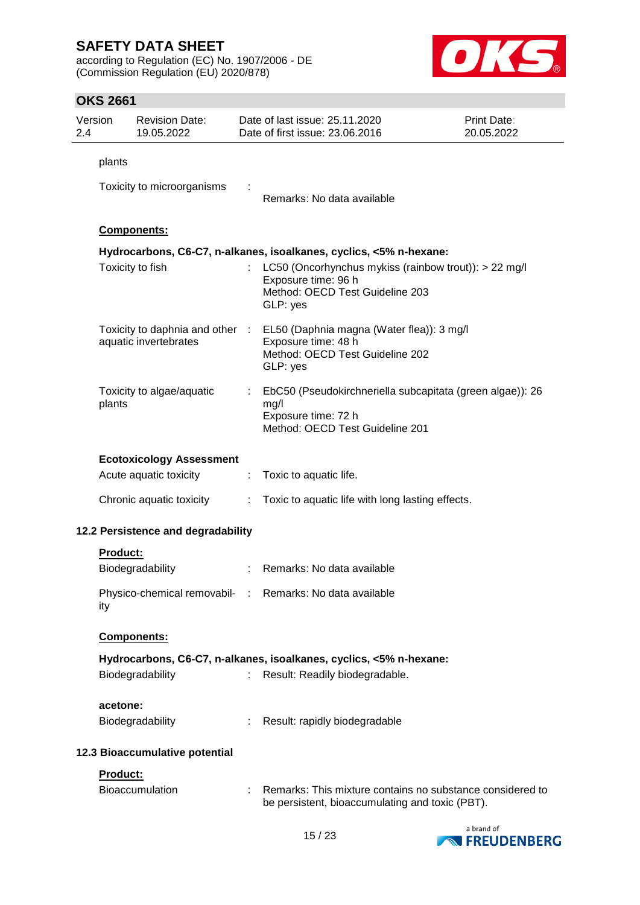according to Regulation (EC) No. 1907/2006 - DE (Commission Regulation (EU) 2020/878)



| Version<br>2.4 |          | <b>Revision Date:</b><br>19.05.2022 |    | Date of last issue: 25.11.2020<br>Date of first issue: 23.06.2016                                                                               | Print Date:<br>20.05.2022 |
|----------------|----------|-------------------------------------|----|-------------------------------------------------------------------------------------------------------------------------------------------------|---------------------------|
|                | plants   |                                     |    |                                                                                                                                                 |                           |
|                |          | Toxicity to microorganisms          |    | Remarks: No data available                                                                                                                      |                           |
|                |          | <b>Components:</b>                  |    |                                                                                                                                                 |                           |
|                |          |                                     |    | Hydrocarbons, C6-C7, n-alkanes, isoalkanes, cyclics, <5% n-hexane:                                                                              |                           |
|                |          | Toxicity to fish                    |    | LC50 (Oncorhynchus mykiss (rainbow trout)): > 22 mg/l<br>Exposure time: 96 h<br>Method: OECD Test Guideline 203<br>GLP: yes                     |                           |
|                |          | aquatic invertebrates               |    | Toxicity to daphnia and other : EL50 (Daphnia magna (Water flea)): 3 mg/l<br>Exposure time: 48 h<br>Method: OECD Test Guideline 202<br>GLP: yes |                           |
|                | plants   | Toxicity to algae/aquatic           |    | EbC50 (Pseudokirchneriella subcapitata (green algae)): 26<br>mg/l<br>Exposure time: 72 h<br>Method: OECD Test Guideline 201                     |                           |
|                |          | <b>Ecotoxicology Assessment</b>     |    |                                                                                                                                                 |                           |
|                |          | Acute aquatic toxicity              | ÷. | Toxic to aquatic life.                                                                                                                          |                           |
|                |          | Chronic aquatic toxicity            |    | Toxic to aquatic life with long lasting effects.                                                                                                |                           |
|                |          | 12.2 Persistence and degradability  |    |                                                                                                                                                 |                           |
|                | Product: | Biodegradability                    |    | Remarks: No data available                                                                                                                      |                           |
|                | ity      |                                     |    | Physico-chemical removabil- : Remarks: No data available                                                                                        |                           |
|                |          | Components:                         |    |                                                                                                                                                 |                           |
|                |          |                                     |    | Hydrocarbons, C6-C7, n-alkanes, isoalkanes, cyclics, <5% n-hexane:                                                                              |                           |
|                |          | Biodegradability                    |    | Result: Readily biodegradable.                                                                                                                  |                           |
|                | acetone: | Biodegradability                    |    | Result: rapidly biodegradable                                                                                                                   |                           |
|                |          | 12.3 Bioaccumulative potential      |    |                                                                                                                                                 |                           |
|                | Product: | <b>Bioaccumulation</b>              |    | Remarks: This mixture contains no substance considered to<br>be persistent, bioaccumulating and toxic (PBT).                                    |                           |

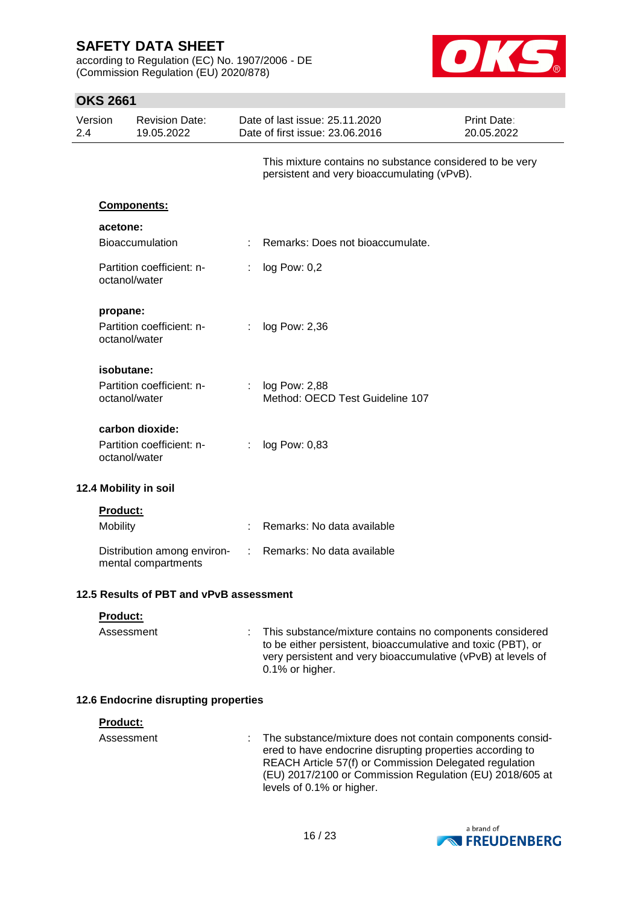according to Regulation (EC) No. 1907/2006 - DE (Commission Regulation (EU) 2020/878)



## **OKS 2661**

| Version<br>2.4                                                |                                                                                                                                                                                     | <b>Revision Date:</b><br>19.05.2022                |                                                                                                                                                                                                                                                                                                                                                                                                                               | Date of last issue: 25.11.2020<br>Date of first issue: 23.06.2016                                       | <b>Print Date:</b><br>20.05.2022 |  |  |
|---------------------------------------------------------------|-------------------------------------------------------------------------------------------------------------------------------------------------------------------------------------|----------------------------------------------------|-------------------------------------------------------------------------------------------------------------------------------------------------------------------------------------------------------------------------------------------------------------------------------------------------------------------------------------------------------------------------------------------------------------------------------|---------------------------------------------------------------------------------------------------------|----------------------------------|--|--|
|                                                               |                                                                                                                                                                                     |                                                    |                                                                                                                                                                                                                                                                                                                                                                                                                               | This mixture contains no substance considered to be very<br>persistent and very bioaccumulating (vPvB). |                                  |  |  |
|                                                               |                                                                                                                                                                                     | Components:                                        |                                                                                                                                                                                                                                                                                                                                                                                                                               |                                                                                                         |                                  |  |  |
|                                                               | acetone:                                                                                                                                                                            |                                                    |                                                                                                                                                                                                                                                                                                                                                                                                                               |                                                                                                         |                                  |  |  |
|                                                               | Bioaccumulation<br>Partition coefficient: n-<br>octanol/water<br>propane:<br>Partition coefficient: n-<br>octanol/water<br>isobutane:<br>Partition coefficient: n-<br>octanol/water |                                                    |                                                                                                                                                                                                                                                                                                                                                                                                                               | Remarks: Does not bioaccumulate.                                                                        |                                  |  |  |
|                                                               |                                                                                                                                                                                     |                                                    | ÷                                                                                                                                                                                                                                                                                                                                                                                                                             | log Pow: 0,2                                                                                            |                                  |  |  |
|                                                               |                                                                                                                                                                                     |                                                    |                                                                                                                                                                                                                                                                                                                                                                                                                               | log Pow: 2,36                                                                                           |                                  |  |  |
|                                                               |                                                                                                                                                                                     |                                                    |                                                                                                                                                                                                                                                                                                                                                                                                                               | log Pow: 2,88<br>Method: OECD Test Guideline 107                                                        |                                  |  |  |
| carbon dioxide:<br>Partition coefficient: n-<br>octanol/water |                                                                                                                                                                                     | ÷.                                                 | log Pow: 0,83                                                                                                                                                                                                                                                                                                                                                                                                                 |                                                                                                         |                                  |  |  |
|                                                               |                                                                                                                                                                                     | 12.4 Mobility in soil                              |                                                                                                                                                                                                                                                                                                                                                                                                                               |                                                                                                         |                                  |  |  |
|                                                               | Product:                                                                                                                                                                            |                                                    |                                                                                                                                                                                                                                                                                                                                                                                                                               |                                                                                                         |                                  |  |  |
|                                                               | Mobility                                                                                                                                                                            |                                                    |                                                                                                                                                                                                                                                                                                                                                                                                                               | Remarks: No data available                                                                              |                                  |  |  |
|                                                               |                                                                                                                                                                                     | Distribution among environ-<br>mental compartments | $\mathcal{I}^{\mathcal{I}^{\mathcal{I}^{\mathcal{I}^{\mathcal{I}^{\mathcal{I}^{\mathcal{I}^{\mathcal{I}^{\mathcal{I}^{\mathcal{I}^{\mathcal{I}^{\mathcal{I}^{\mathcal{I}^{\mathcal{I}^{\mathcal{I}^{\mathcal{I}^{\mathcal{I}^{\mathcal{I}^{\mathcal{I}^{\mathcal{I}^{\mathcal{I}^{\mathcal{I}^{\mathcal{I}^{\mathcal{I}^{\mathcal{I}^{\mathcal{I}^{\mathcal{I}^{\mathcal{I}^{\mathcal{I}^{\mathcal{I}^{\mathcal{I}^{\mathcal$ | Remarks: No data available                                                                              |                                  |  |  |
|                                                               | 12.5 Results of PBT and vPvB assessment                                                                                                                                             |                                                    |                                                                                                                                                                                                                                                                                                                                                                                                                               |                                                                                                         |                                  |  |  |

### **Product:**

| : This substance/mixture contains no components considered<br>Assessment<br>to be either persistent, bioaccumulative and toxic (PBT), or<br>very persistent and very bioaccumulative (vPvB) at levels of<br>$0.1\%$ or higher. |  |
|--------------------------------------------------------------------------------------------------------------------------------------------------------------------------------------------------------------------------------|--|
|--------------------------------------------------------------------------------------------------------------------------------------------------------------------------------------------------------------------------------|--|

### **12.6 Endocrine disrupting properties**

| <b>Product:</b> |                                                                                                                                                                                                                                                                             |
|-----------------|-----------------------------------------------------------------------------------------------------------------------------------------------------------------------------------------------------------------------------------------------------------------------------|
| Assessment      | : The substance/mixture does not contain components consid-<br>ered to have endocrine disrupting properties according to<br>REACH Article 57(f) or Commission Delegated regulation<br>(EU) 2017/2100 or Commission Regulation (EU) 2018/605 at<br>levels of 0.1% or higher. |

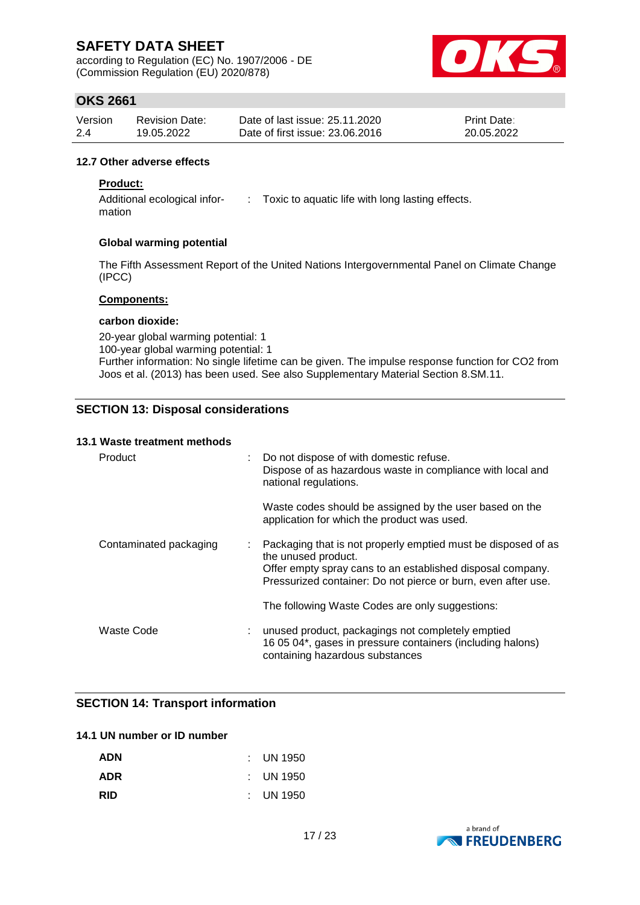according to Regulation (EC) No. 1907/2006 - DE (Commission Regulation (EU) 2020/878)



## **OKS 2661**

| Version | Revision Date: | Date of last issue: 25.11.2020  | <b>Print Date:</b> |
|---------|----------------|---------------------------------|--------------------|
| 2.4     | 19.05.2022     | Date of first issue: 23,06,2016 | 20.05.2022         |

### **12.7 Other adverse effects**

### **Product:**

Additional ecological infor-: Toxic to aquatic life with long lasting effects. mation

#### **Global warming potential**

The Fifth Assessment Report of the United Nations Intergovernmental Panel on Climate Change (IPCC)

#### **Components:**

#### **carbon dioxide:**

20-year global warming potential: 1 100-year global warming potential: 1 Further information: No single lifetime can be given. The impulse response function for CO2 from Joos et al. (2013) has been used. See also Supplementary Material Section 8.SM.11.

### **SECTION 13: Disposal considerations**

### **13.1 Waste treatment methods**

| Product                | : Do not dispose of with domestic refuse.<br>Dispose of as hazardous waste in compliance with local and<br>national regulations.                                                                                      |
|------------------------|-----------------------------------------------------------------------------------------------------------------------------------------------------------------------------------------------------------------------|
|                        | Waste codes should be assigned by the user based on the<br>application for which the product was used.                                                                                                                |
| Contaminated packaging | : Packaging that is not properly emptied must be disposed of as<br>the unused product.<br>Offer empty spray cans to an established disposal company.<br>Pressurized container: Do not pierce or burn, even after use. |
|                        | The following Waste Codes are only suggestions:                                                                                                                                                                       |
| Waste Code             | : unused product, packagings not completely emptied<br>16 05 04*, gases in pressure containers (including halons)<br>containing hazardous substances                                                                  |

### **SECTION 14: Transport information**

### **14.1 UN number or ID number**

| <b>ADN</b> | $\therefore$ UN 1950 |
|------------|----------------------|
| <b>ADR</b> | $\pm$ UN 1950        |
| <b>RID</b> | $\therefore$ UN 1950 |

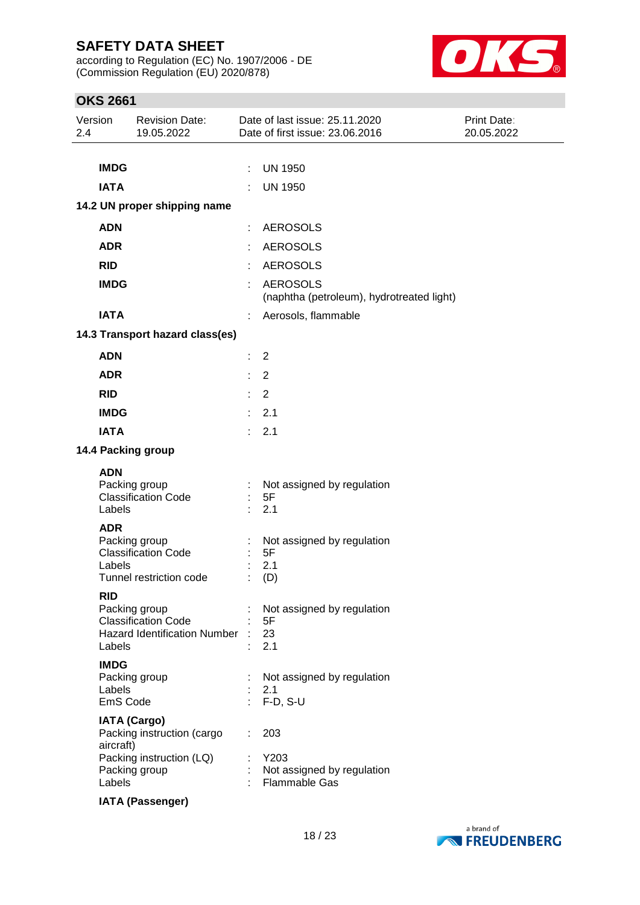according to Regulation (EC) No. 1907/2006 - DE (Commission Regulation (EU) 2020/878)



| Version<br>2.4 |                                   | <b>Revision Date:</b><br>19.05.2022                                                            |   | Date of last issue: 25.11.2020<br>Date of first issue: 23.06.2016 | Print Date:<br>20.05.2022 |
|----------------|-----------------------------------|------------------------------------------------------------------------------------------------|---|-------------------------------------------------------------------|---------------------------|
|                |                                   |                                                                                                |   |                                                                   |                           |
|                | <b>IMDG</b>                       |                                                                                                |   | <b>UN 1950</b>                                                    |                           |
|                | <b>IATA</b>                       |                                                                                                |   | <b>UN 1950</b>                                                    |                           |
|                |                                   | 14.2 UN proper shipping name                                                                   |   |                                                                   |                           |
|                | <b>ADN</b>                        |                                                                                                | ÷ | <b>AEROSOLS</b>                                                   |                           |
|                | <b>ADR</b>                        |                                                                                                |   | <b>AEROSOLS</b>                                                   |                           |
|                | <b>RID</b>                        |                                                                                                |   | <b>AEROSOLS</b>                                                   |                           |
|                | <b>IMDG</b>                       |                                                                                                |   | <b>AEROSOLS</b><br>(naphtha (petroleum), hydrotreated light)      |                           |
|                | <b>IATA</b>                       |                                                                                                |   | Aerosols, flammable                                               |                           |
|                |                                   | 14.3 Transport hazard class(es)                                                                |   |                                                                   |                           |
|                | <b>ADN</b>                        |                                                                                                |   | $\overline{2}$                                                    |                           |
|                | <b>ADR</b>                        |                                                                                                |   | $\overline{2}$                                                    |                           |
|                | <b>RID</b>                        |                                                                                                |   | $\overline{2}$                                                    |                           |
|                | <b>IMDG</b>                       |                                                                                                |   | 2.1                                                               |                           |
|                | <b>IATA</b>                       |                                                                                                |   | 2.1                                                               |                           |
|                |                                   | 14.4 Packing group                                                                             |   |                                                                   |                           |
|                | <b>ADN</b>                        |                                                                                                |   |                                                                   |                           |
|                | Labels                            | Packing group<br><b>Classification Code</b>                                                    |   | Not assigned by regulation<br>5F<br>2.1                           |                           |
|                | <b>ADR</b><br>Labels              | Packing group<br><b>Classification Code</b><br>Tunnel restriction code                         |   | Not assigned by regulation<br>5F<br>2.1<br>(D)                    |                           |
|                | <b>RID</b><br>Labels              | Packing group<br><b>Classification Code</b><br><b>Hazard Identification Number</b>             |   | Not assigned by regulation<br>5F<br>23<br>2.1                     |                           |
|                | <b>IMDG</b><br>Labels<br>EmS Code | Packing group                                                                                  |   | Not assigned by regulation<br>2.1<br>$F-D, S-U$                   |                           |
|                | aircraft)<br>Labels               | <b>IATA (Cargo)</b><br>Packing instruction (cargo<br>Packing instruction (LQ)<br>Packing group |   | 203<br>Y203<br>Not assigned by regulation<br><b>Flammable Gas</b> |                           |
|                |                                   | <b>IATA (Passenger)</b>                                                                        |   |                                                                   |                           |

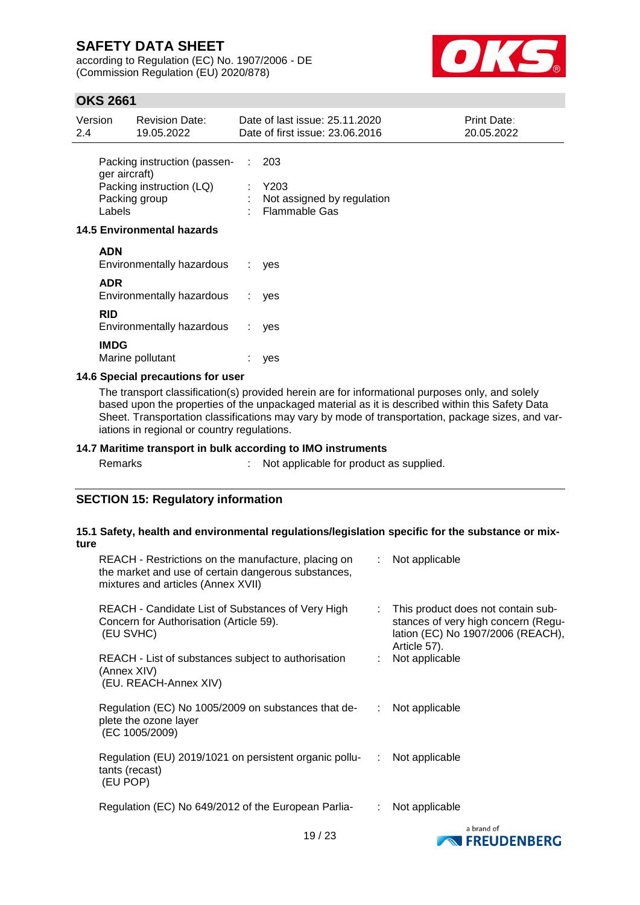according to Regulation (EC) No. 1907/2006 - DE (Commission Regulation (EU) 2020/878)



## **OKS 2661**

| Version<br>$2.4^{\circ}$ | <b>Revision Date:</b><br>19.05.2022                                       |          | Date of last issue: 25.11.2020<br>Date of first issue: 23.06.2016 | <b>Print Date:</b><br>20.05.2022 |
|--------------------------|---------------------------------------------------------------------------|----------|-------------------------------------------------------------------|----------------------------------|
| ger aircraft)<br>Labels  | Packing instruction (passen-<br>Packing instruction (LQ)<br>Packing group | ÷.<br>t. | 203<br>Y203<br>Not assigned by regulation<br><b>Flammable Gas</b> |                                  |
|                          | <b>14.5 Environmental hazards</b>                                         |          |                                                                   |                                  |
| <b>ADN</b>               | Environmentally hazardous                                                 |          | : yes                                                             |                                  |
| <b>ADR</b>               | Environmentally hazardous                                                 | ÷.       | yes                                                               |                                  |
| <b>RID</b>               | Environmentally hazardous                                                 |          | $:$ yes                                                           |                                  |
| <b>IMDG</b>              | Marine pollutant                                                          |          | yes                                                               |                                  |

#### **14.6 Special precautions for user**

The transport classification(s) provided herein are for informational purposes only, and solely based upon the properties of the unpackaged material as it is described within this Safety Data Sheet. Transportation classifications may vary by mode of transportation, package sizes, and variations in regional or country regulations.

### **14.7 Maritime transport in bulk according to IMO instruments**

Remarks : Not applicable for product as supplied.

### **SECTION 15: Regulatory information**

### **15.1 Safety, health and environmental regulations/legislation specific for the substance or mixture**

| REACH - Restrictions on the manufacture, placing on<br>the market and use of certain dangerous substances,<br>mixtures and articles (Annex XVII) |             | $:$ Not applicable                                                                                                             |
|--------------------------------------------------------------------------------------------------------------------------------------------------|-------------|--------------------------------------------------------------------------------------------------------------------------------|
| REACH - Candidate List of Substances of Very High<br>Concern for Authorisation (Article 59).<br>(EU SVHC)                                        | ÷.          | This product does not contain sub-<br>stances of very high concern (Regu-<br>lation (EC) No 1907/2006 (REACH),<br>Article 57). |
| REACH - List of substances subject to authorisation<br>(Annex XIV)<br>(EU. REACH-Annex XIV)                                                      |             | : Not applicable                                                                                                               |
| Regulation (EC) No 1005/2009 on substances that de-<br>plete the ozone layer<br>(EC 1005/2009)                                                   | $\sim 10^7$ | Not applicable                                                                                                                 |
| Regulation (EU) 2019/1021 on persistent organic pollu-<br>tants (recast)<br>(EU POP)                                                             |             | $:$ Not applicable                                                                                                             |
| Regulation (EC) No 649/2012 of the European Parlia-                                                                                              | ÷.          | Not applicable                                                                                                                 |
|                                                                                                                                                  |             | a brand of                                                                                                                     |

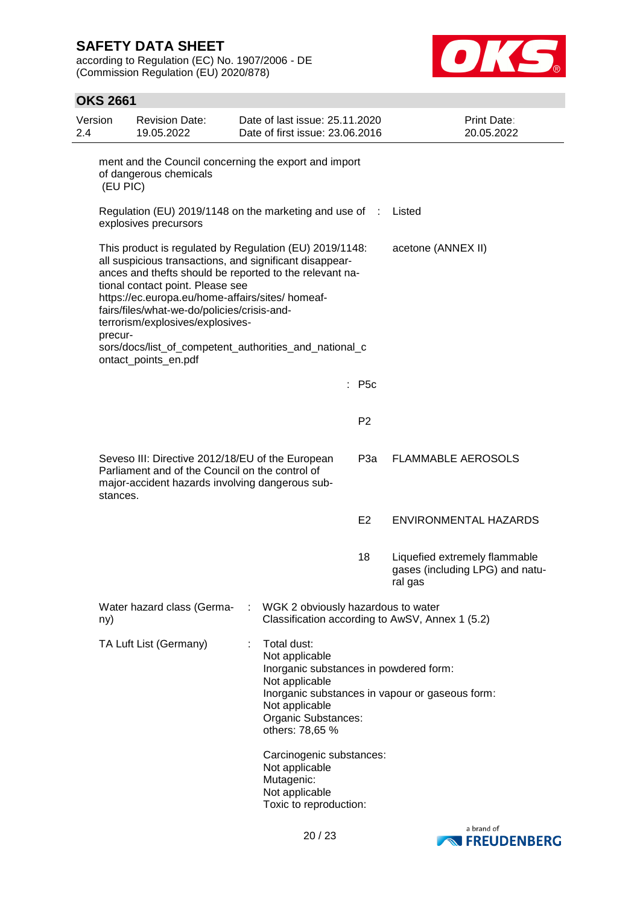according to Regulation (EC) No. 1907/2006 - DE (Commission Regulation (EU) 2020/878)



| Version<br>2.4 | <b>Revision Date:</b><br>19.05.2022                                                                                                                                                                                                                                                                                                                                                                                                        |   | Date of last issue: 25.11.2020<br>Date of first issue: 23.06.2016                                                                                                                                                 |                  | <b>Print Date:</b><br>20.05.2022                                            |
|----------------|--------------------------------------------------------------------------------------------------------------------------------------------------------------------------------------------------------------------------------------------------------------------------------------------------------------------------------------------------------------------------------------------------------------------------------------------|---|-------------------------------------------------------------------------------------------------------------------------------------------------------------------------------------------------------------------|------------------|-----------------------------------------------------------------------------|
|                | ment and the Council concerning the export and import<br>of dangerous chemicals<br>(EU PIC)                                                                                                                                                                                                                                                                                                                                                |   |                                                                                                                                                                                                                   |                  |                                                                             |
|                | Regulation (EU) 2019/1148 on the marketing and use of : Listed<br>explosives precursors                                                                                                                                                                                                                                                                                                                                                    |   |                                                                                                                                                                                                                   |                  |                                                                             |
| precur-        | This product is regulated by Regulation (EU) 2019/1148:<br>all suspicious transactions, and significant disappear-<br>ances and thefts should be reported to the relevant na-<br>tional contact point. Please see<br>https://ec.europa.eu/home-affairs/sites/ homeaf-<br>fairs/files/what-we-do/policies/crisis-and-<br>terrorism/explosives/explosives-<br>sors/docs/list_of_competent_authorities_and_national_c<br>ontact_points_en.pdf |   |                                                                                                                                                                                                                   |                  | acetone (ANNEX II)                                                          |
|                |                                                                                                                                                                                                                                                                                                                                                                                                                                            |   |                                                                                                                                                                                                                   | : P5c            |                                                                             |
|                |                                                                                                                                                                                                                                                                                                                                                                                                                                            |   |                                                                                                                                                                                                                   | P <sub>2</sub>   |                                                                             |
| stances.       | Seveso III: Directive 2012/18/EU of the European<br>Parliament and of the Council on the control of<br>major-accident hazards involving dangerous sub-                                                                                                                                                                                                                                                                                     |   |                                                                                                                                                                                                                   | P <sub>3</sub> a | <b>FLAMMABLE AEROSOLS</b>                                                   |
|                |                                                                                                                                                                                                                                                                                                                                                                                                                                            |   |                                                                                                                                                                                                                   | E <sub>2</sub>   | ENVIRONMENTAL HAZARDS                                                       |
|                |                                                                                                                                                                                                                                                                                                                                                                                                                                            |   |                                                                                                                                                                                                                   | 18               | Liquefied extremely flammable<br>gases (including LPG) and natu-<br>ral gas |
| ny)            | Water hazard class (Germa-                                                                                                                                                                                                                                                                                                                                                                                                                 | ÷ | WGK 2 obviously hazardous to water                                                                                                                                                                                |                  | Classification according to AwSV, Annex 1 (5.2)                             |
|                | TA Luft List (Germany)                                                                                                                                                                                                                                                                                                                                                                                                                     |   | Total dust:<br>Not applicable<br>Inorganic substances in powdered form:<br>Not applicable<br>Not applicable<br>Organic Substances:<br>others: 78,65 %<br>Carcinogenic substances:<br>Not applicable<br>Mutagenic: |                  | Inorganic substances in vapour or gaseous form:                             |
|                |                                                                                                                                                                                                                                                                                                                                                                                                                                            |   | Not applicable<br>Toxic to reproduction:                                                                                                                                                                          |                  |                                                                             |

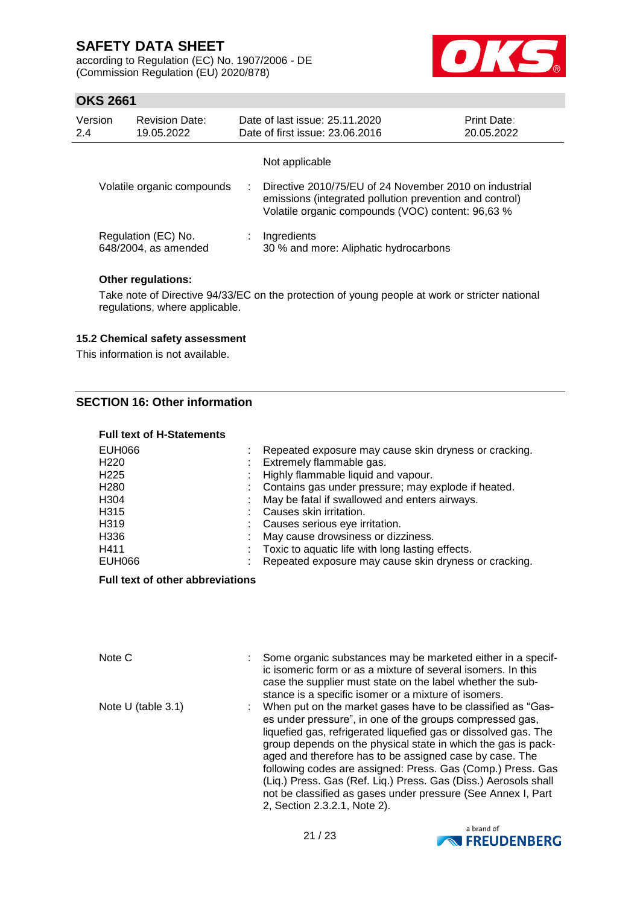according to Regulation (EC) No. 1907/2006 - DE (Commission Regulation (EU) 2020/878)



## **OKS 2661**

| Version<br>2.4             | <b>Revision Date:</b><br>19.05.2022         |   | Date of last issue: 25.11.2020<br>Date of first issue: 23.06.2016                                                                                                      | <b>Print Date:</b><br>20.05.2022 |
|----------------------------|---------------------------------------------|---|------------------------------------------------------------------------------------------------------------------------------------------------------------------------|----------------------------------|
| Volatile organic compounds |                                             |   | Not applicable                                                                                                                                                         |                                  |
|                            |                                             |   | Directive 2010/75/EU of 24 November 2010 on industrial<br>emissions (integrated pollution prevention and control)<br>Volatile organic compounds (VOC) content: 96,63 % |                                  |
|                            | Regulation (EC) No.<br>648/2004, as amended | ÷ | Ingredients<br>30 % and more: Aliphatic hydrocarbons                                                                                                                   |                                  |

### **Other regulations:**

Take note of Directive 94/33/EC on the protection of young people at work or stricter national regulations, where applicable.

#### **15.2 Chemical safety assessment**

This information is not available.

### **SECTION 16: Other information**

|  | <b>Full text of H-Statements</b> |  |
|--|----------------------------------|--|
|--|----------------------------------|--|

| EUH066<br>H <sub>220</sub><br>H <sub>225</sub><br>H <sub>280</sub><br>H <sub>304</sub><br>H <sub>3</sub> 15<br>H319<br>H336<br>H411 | Repeated exposure may cause skin dryness or cracking.<br>Extremely flammable gas.<br>Highly flammable liquid and vapour.<br>: Contains gas under pressure; may explode if heated.<br>May be fatal if swallowed and enters airways.<br>Causes skin irritation.<br>Causes serious eye irritation.<br>May cause drowsiness or dizziness. |
|-------------------------------------------------------------------------------------------------------------------------------------|---------------------------------------------------------------------------------------------------------------------------------------------------------------------------------------------------------------------------------------------------------------------------------------------------------------------------------------|
| EUH066                                                                                                                              | Toxic to aquatic life with long lasting effects.<br>Repeated exposure may cause skin dryness or cracking.                                                                                                                                                                                                                             |

### **Full text of other abbreviations**

| Note C               | Some organic substances may be marketed either in a specif-<br>ic isomeric form or as a mixture of several isomers. In this<br>case the supplier must state on the label whether the sub-<br>stance is a specific isomer or a mixture of isomers.                                                                                                                                                                                                                                                                                                        |
|----------------------|----------------------------------------------------------------------------------------------------------------------------------------------------------------------------------------------------------------------------------------------------------------------------------------------------------------------------------------------------------------------------------------------------------------------------------------------------------------------------------------------------------------------------------------------------------|
| Note $U$ (table 3.1) | When put on the market gases have to be classified as "Gas-<br>es under pressure", in one of the groups compressed gas,<br>liquefied gas, refrigerated liquefied gas or dissolved gas. The<br>group depends on the physical state in which the gas is pack-<br>aged and therefore has to be assigned case by case. The<br>following codes are assigned: Press. Gas (Comp.) Press. Gas<br>(Liq.) Press. Gas (Ref. Liq.) Press. Gas (Diss.) Aerosols shall<br>not be classified as gases under pressure (See Annex I, Part<br>2, Section 2.3.2.1, Note 2). |

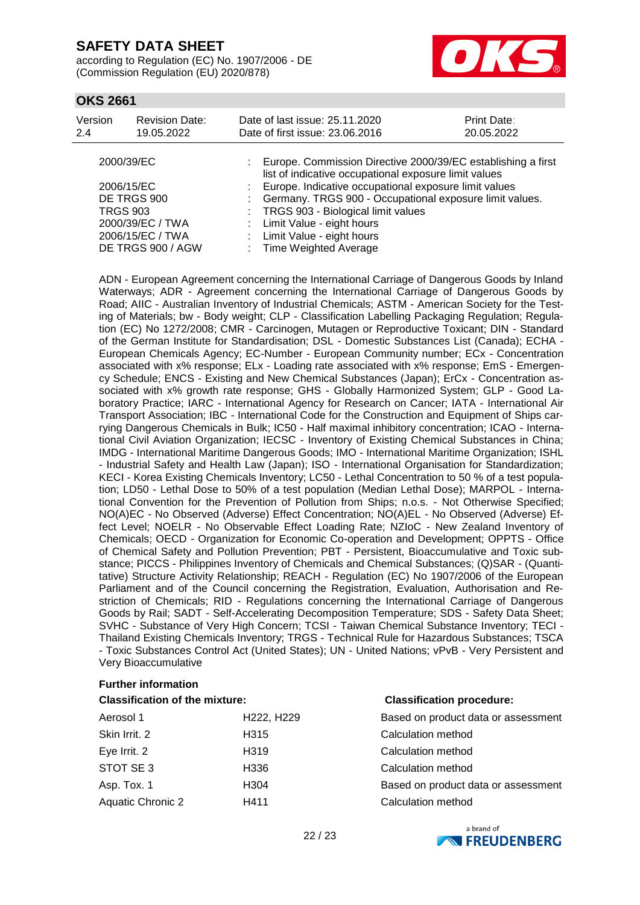according to Regulation (EC) No. 1907/2006 - DE (Commission Regulation (EU) 2020/878)



## **OKS 2661**

| Version<br>2.4  | <b>Revision Date:</b><br>19.05.2022 | Date of last issue: 25.11.2020<br>Date of first issue: 23.06.2016                                                     | Print Date:<br>20.05.2022 |
|-----------------|-------------------------------------|-----------------------------------------------------------------------------------------------------------------------|---------------------------|
| 2000/39/EC      |                                     | Europe. Commission Directive 2000/39/EC establishing a first<br>list of indicative occupational exposure limit values |                           |
| 2006/15/EC      |                                     | : Europe. Indicative occupational exposure limit values                                                               |                           |
|                 | DE TRGS 900                         | Germany. TRGS 900 - Occupational exposure limit values.                                                               |                           |
| <b>TRGS 903</b> |                                     | TRGS 903 - Biological limit values                                                                                    |                           |
|                 | 2000/39/EC / TWA                    | : Limit Value - eight hours                                                                                           |                           |
|                 | 2006/15/EC / TWA                    | Limit Value - eight hours                                                                                             |                           |
|                 | DE TRGS 900 / AGW                   | : Time Weighted Average                                                                                               |                           |

ADN - European Agreement concerning the International Carriage of Dangerous Goods by Inland Waterways; ADR - Agreement concerning the International Carriage of Dangerous Goods by Road; AIIC - Australian Inventory of Industrial Chemicals; ASTM - American Society for the Testing of Materials; bw - Body weight; CLP - Classification Labelling Packaging Regulation; Regulation (EC) No 1272/2008; CMR - Carcinogen, Mutagen or Reproductive Toxicant; DIN - Standard of the German Institute for Standardisation; DSL - Domestic Substances List (Canada); ECHA - European Chemicals Agency; EC-Number - European Community number; ECx - Concentration associated with x% response; ELx - Loading rate associated with x% response; EmS - Emergency Schedule; ENCS - Existing and New Chemical Substances (Japan); ErCx - Concentration associated with x% growth rate response; GHS - Globally Harmonized System; GLP - Good Laboratory Practice; IARC - International Agency for Research on Cancer; IATA - International Air Transport Association; IBC - International Code for the Construction and Equipment of Ships carrying Dangerous Chemicals in Bulk; IC50 - Half maximal inhibitory concentration; ICAO - International Civil Aviation Organization; IECSC - Inventory of Existing Chemical Substances in China; IMDG - International Maritime Dangerous Goods; IMO - International Maritime Organization; ISHL - Industrial Safety and Health Law (Japan); ISO - International Organisation for Standardization; KECI - Korea Existing Chemicals Inventory; LC50 - Lethal Concentration to 50 % of a test population; LD50 - Lethal Dose to 50% of a test population (Median Lethal Dose); MARPOL - International Convention for the Prevention of Pollution from Ships; n.o.s. - Not Otherwise Specified; NO(A)EC - No Observed (Adverse) Effect Concentration; NO(A)EL - No Observed (Adverse) Effect Level; NOELR - No Observable Effect Loading Rate; NZIoC - New Zealand Inventory of Chemicals; OECD - Organization for Economic Co-operation and Development; OPPTS - Office of Chemical Safety and Pollution Prevention; PBT - Persistent, Bioaccumulative and Toxic substance; PICCS - Philippines Inventory of Chemicals and Chemical Substances; (Q)SAR - (Quantitative) Structure Activity Relationship; REACH - Regulation (EC) No 1907/2006 of the European Parliament and of the Council concerning the Registration, Evaluation, Authorisation and Restriction of Chemicals; RID - Regulations concerning the International Carriage of Dangerous Goods by Rail; SADT - Self-Accelerating Decomposition Temperature; SDS - Safety Data Sheet; SVHC - Substance of Very High Concern; TCSI - Taiwan Chemical Substance Inventory; TECI - Thailand Existing Chemicals Inventory; TRGS - Technical Rule for Hazardous Substances; TSCA - Toxic Substances Control Act (United States); UN - United Nations; vPvB - Very Persistent and Very Bioaccumulative

### **Further information**

| Classification of the mixture: |                                   |
|--------------------------------|-----------------------------------|
| Aerosol 1                      | H <sub>222</sub> H <sub>229</sub> |

|                   |                   | <b>Pacea on product data or accepting in</b> |
|-------------------|-------------------|----------------------------------------------|
| Skin Irrit. 2     | H <sub>315</sub>  | Calculation method                           |
| Eye Irrit. 2      | H <sub>3</sub> 19 | Calculation method                           |
| STOT SE 3         | H336              | Calculation method                           |
| Asp. Tox. 1       | H <sub>304</sub>  | Based on product data or assessment          |
| Aquatic Chronic 2 | H411              | Calculation method                           |

**Classification of the mixture: Classification procedure:**

| Based on product data or assessment |
|-------------------------------------|
| Calculation method                  |
| Calculation method                  |
| Calculation method                  |
| Based on product data or assessment |
| Calculation method                  |